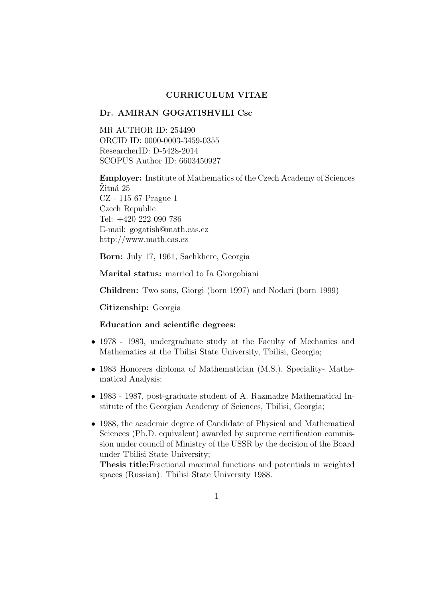# CURRICULUM VITAE

### Dr. AMIRAN GOGATISHVILI Csc

MR AUTHOR ID: 254490 ORCID ID: 0000-0003-3459-0355 ResearcherID: D-5428-2014 SCOPUS Author ID: 6603450927

Employer: Institute of Mathematics of the Czech Academy of Sciences Zitná 25 CZ - 115 67 Prague 1 Czech Republic Tel: +420 222 090 786 E-mail: gogatish@math.cas.cz http://www.math.cas.cz

Born: July 17, 1961, Sachkhere, Georgia

Marital status: married to Ia Giorgobiani

Children: Two sons, Giorgi (born 1997) and Nodari (born 1999)

Citizenship: Georgia

### Education and scientific degrees:

- 1978 1983, undergraduate study at the Faculty of Mechanics and Mathematics at the Tbilisi State University, Tbilisi, Georgia;
- 1983 Honorers diploma of Mathematician (M.S.), Speciality- Mathematical Analysis;
- 1983 1987, post-graduate student of A. Razmadze Mathematical Institute of the Georgian Academy of Sciences, Tbilisi, Georgia;
- 1988, the academic degree of Candidate of Physical and Mathematical Sciences (Ph.D. equivalent) awarded by supreme certification commission under council of Ministry of the USSR by the decision of the Board under Tbilisi State University;

Thesis title:Fractional maximal functions and potentials in weighted spaces (Russian). Tbilisi State University 1988.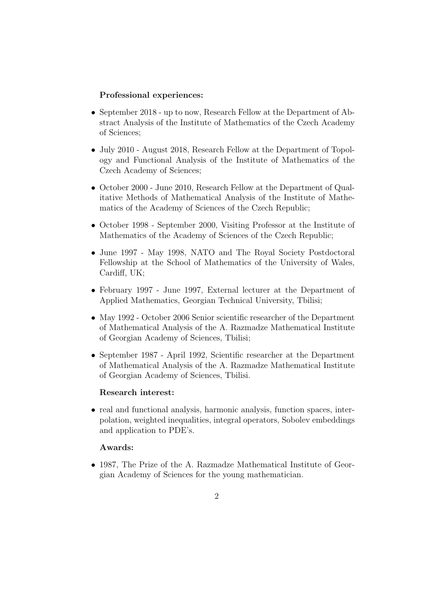# Professional experiences:

- September 2018 up to now, Research Fellow at the Department of Abstract Analysis of the Institute of Mathematics of the Czech Academy of Sciences;
- July 2010 August 2018, Research Fellow at the Department of Topology and Functional Analysis of the Institute of Mathematics of the Czech Academy of Sciences;
- October 2000 June 2010, Research Fellow at the Department of Qualitative Methods of Mathematical Analysis of the Institute of Mathematics of the Academy of Sciences of the Czech Republic;
- October 1998 September 2000, Visiting Professor at the Institute of Mathematics of the Academy of Sciences of the Czech Republic;
- June 1997 May 1998, NATO and The Royal Society Postdoctoral Fellowship at the School of Mathematics of the University of Wales, Cardiff, UK;
- February 1997 June 1997, External lecturer at the Department of Applied Mathematics, Georgian Technical University, Tbilisi;
- May 1992 October 2006 Senior scientific researcher of the Department of Mathematical Analysis of the A. Razmadze Mathematical Institute of Georgian Academy of Sciences, Tbilisi;
- September 1987 April 1992, Scientific researcher at the Department of Mathematical Analysis of the A. Razmadze Mathematical Institute of Georgian Academy of Sciences, Tbilisi.

## Research interest:

• real and functional analysis, harmonic analysis, function spaces, interpolation, weighted inequalities, integral operators, Sobolev embeddings and application to PDE's.

# Awards:

• 1987, The Prize of the A. Razmadze Mathematical Institute of Georgian Academy of Sciences for the young mathematician.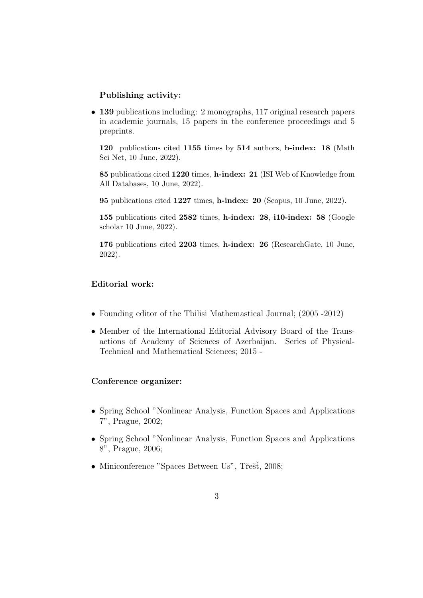# Publishing activity:

• 139 publications including: 2 monographs, 117 original research papers in academic journals, 15 papers in the conference proceedings and 5 preprints.

120 publications cited 1155 times by 514 authors, h-index: 18 (Math Sci Net, 10 June, 2022).

85 publications cited 1220 times, h-index: 21 (ISI Web of Knowledge from All Databases, 10 June, 2022).

95 publications cited 1227 times, h-index: 20 (Scopus, 10 June, 2022).

155 publications cited 2582 times, h-index: 28, i10-index: 58 (Google scholar 10 June, 2022).

176 publications cited 2203 times, h-index: 26 (ResearchGate, 10 June, 2022).

# Editorial work:

- Founding editor of the Tbilisi Mathemastical Journal; (2005 -2012)
- Member of the International Editorial Advisory Board of the Transactions of Academy of Sciences of Azerbaijan. Series of Physical-Technical and Mathematical Sciences; 2015 -

### Conference organizer:

- Spring School "Nonlinear Analysis, Function Spaces and Applications 7", Prague, 2002;
- Spring School "Nonlinear Analysis, Function Spaces and Applications 8", Prague, 2006;
- Miniconference "Spaces Between Us", Třešť, 2008;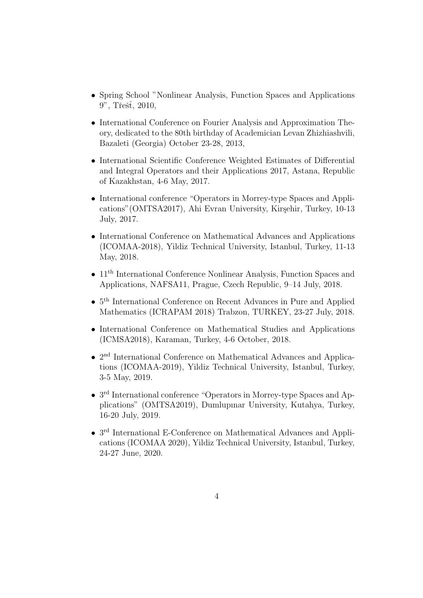- Spring School "Nonlinear Analysis, Function Spaces and Applications 9", Třešť, 2010,
- International Conference on Fourier Analysis and Approximation Theory, dedicated to the 80th birthday of Academician Levan Zhizhiashvili, Bazaleti (Georgia) October 23-28, 2013,
- International Scientific Conference Weighted Estimates of Differential and Integral Operators and their Applications 2017, Astana, Republic of Kazakhstan, 4-6 May, 2017.
- International conference "Operators in Morrey-type Spaces and Applications" (OMTSA2017), Ahi Evran University, Kirşehir, Turkey, 10-13 July, 2017.
- International Conference on Mathematical Advances and Applications (ICOMAA-2018), Yildiz Technical University, Istanbul, Turkey, 11-13 May, 2018.
- 11<sup>th</sup> International Conference Nonlinear Analysis, Function Spaces and Applications, NAFSA11, Prague, Czech Republic, 9–14 July, 2018.
- $5<sup>th</sup> International Conference on Recent Advances in Pure and Applied$ Mathematics (ICRAPAM 2018) Trabzon, TURKEY, 23-27 July, 2018.
- International Conference on Mathematical Studies and Applications (ICMSA2018), Karaman, Turkey, 4-6 October, 2018.
- 2<sup>nd</sup> International Conference on Mathematical Advances and Applications (ICOMAA-2019), Yildiz Technical University, Istanbul, Turkey, 3-5 May, 2019.
- 3<sup>rd</sup> International conference "Operators in Morrey-type Spaces and Applications" (OMTSA2019), Dumlupınar University, Kutahya, Turkey, 16-20 July, 2019.
- 3<sup>rd</sup> International E-Conference on Mathematical Advances and Applications (ICOMAA 2020), Yildiz Technical University, Istanbul, Turkey, 24-27 June, 2020.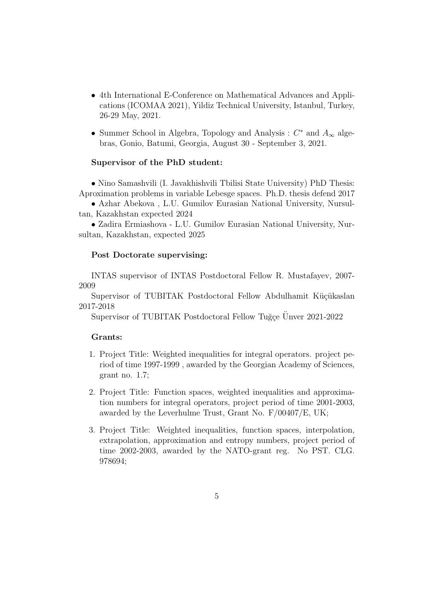- 4th International E-Conference on Mathematical Advances and Applications (ICOMAA 2021), Yildiz Technical University, Istanbul, Turkey, 26-29 May, 2021.
- Summer School in Algebra, Topology and Analysis :  $C^*$  and  $A_{\infty}$  algebras, Gonio, Batumi, Georgia, August 30 - September 3, 2021.

## Supervisor of the PhD student:

• Nino Samashvili (I. Javakhishvili Tbilisi State University) PhD Thesis: Aproximation problems in variable Lebesge spaces. Ph.D. thesis defend 2017

• Azhar Abekova , L.U. Gumilov Eurasian National University, Nursultan, Kazakhstan expected 2024

• Zadira Ermiashova - L.U. Gumilov Eurasian National University, Nursultan, Kazakhstan, expected 2025

#### Post Doctorate supervising:

INTAS supervisor of INTAS Postdoctoral Fellow R. Mustafayev, 2007- 2009

Supervisor of TUBITAK Postdoctoral Fellow Abdulhamit Küçükaslan 2017-2018

Supervisor of TUBITAK Postdoctoral Fellow Tuğçe Ünver 2021-2022

#### Grants:

- 1. Project Title: Weighted inequalities for integral operators. project period of time 1997-1999 , awarded by the Georgian Academy of Sciences, grant no. 1.7;
- 2. Project Title: Function spaces, weighted inequalities and approximation numbers for integral operators, project period of time 2001-2003, awarded by the Leverhulme Trust, Grant No. F/00407/E, UK;
- 3. Project Title: Weighted inequalities, function spaces, interpolation, extrapolation, approximation and entropy numbers, project period of time 2002-2003, awarded by the NATO-grant reg. No PST. CLG. 978694;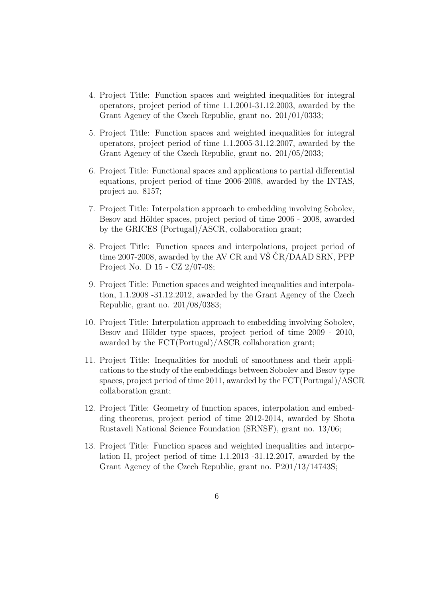- 4. Project Title: Function spaces and weighted inequalities for integral operators, project period of time 1.1.2001-31.12.2003, awarded by the Grant Agency of the Czech Republic, grant no. 201/01/0333;
- 5. Project Title: Function spaces and weighted inequalities for integral operators, project period of time 1.1.2005-31.12.2007, awarded by the Grant Agency of the Czech Republic, grant no. 201/05/2033;
- 6. Project Title: Functional spaces and applications to partial differential equations, project period of time 2006-2008, awarded by the INTAS, project no. 8157;
- 7. Project Title: Interpolation approach to embedding involving Sobolev, Besov and Hölder spaces, project period of time 2006 - 2008, awarded by the GRICES (Portugal)/ASCR, collaboration grant;
- 8. Project Title: Function spaces and interpolations, project period of time 2007-2008, awarded by the AV CR and VŠ  $\rm \check{C}R/DAAD$  SRN, PPP Project No. D 15 - CZ 2/07-08;
- 9. Project Title: Function spaces and weighted inequalities and interpolation, 1.1.2008 -31.12.2012, awarded by the Grant Agency of the Czech Republic, grant no. 201/08/0383;
- 10. Project Title: Interpolation approach to embedding involving Sobolev, Besov and Hölder type spaces, project period of time 2009 - 2010, awarded by the FCT(Portugal)/ASCR collaboration grant;
- 11. Project Title: Inequalities for moduli of smoothness and their applications to the study of the embeddings between Sobolev and Besov type spaces, project period of time 2011, awarded by the FCT(Portugal)/ASCR collaboration grant;
- 12. Project Title: Geometry of function spaces, interpolation and embedding theorems, project period of time 2012-2014, awarded by Shota Rustaveli National Science Foundation (SRNSF), grant no. 13/06;
- 13. Project Title: Function spaces and weighted inequalities and interpolation II, project period of time 1.1.2013 -31.12.2017, awarded by the Grant Agency of the Czech Republic, grant no. P201/13/14743S;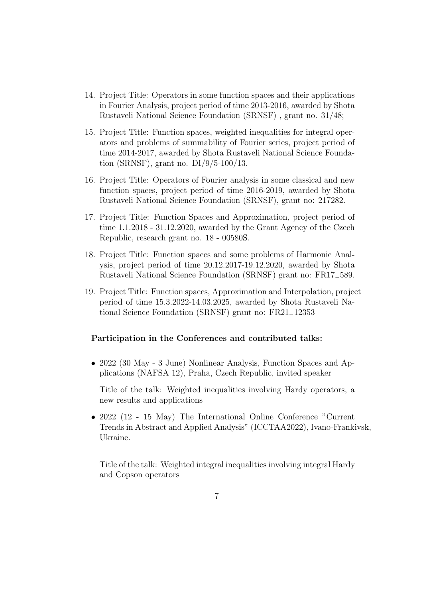- 14. Project Title: Operators in some function spaces and their applications in Fourier Analysis, project period of time 2013-2016, awarded by Shota Rustaveli National Science Foundation (SRNSF) , grant no. 31/48;
- 15. Project Title: Function spaces, weighted inequalities for integral operators and problems of summability of Fourier series, project period of time 2014-2017, awarded by Shota Rustaveli National Science Foundation (SRNSF), grant no. DI/9/5-100/13.
- 16. Project Title: Operators of Fourier analysis in some classical and new function spaces, project period of time 2016-2019, awarded by Shota Rustaveli National Science Foundation (SRNSF), grant no: 217282.
- 17. Project Title: Function Spaces and Approximation, project period of time 1.1.2018 - 31.12.2020, awarded by the Grant Agency of the Czech Republic, research grant no. 18 - 00580S.
- 18. Project Title: Function spaces and some problems of Harmonic Analysis, project period of time 20.12.2017-19.12.2020, awarded by Shota Rustaveli National Science Foundation (SRNSF) grant no: FR17−589.
- 19. Project Title: Function spaces, Approximation and Interpolation, project period of time 15.3.2022-14.03.2025, awarded by Shota Rustaveli National Science Foundation (SRNSF) grant no: FR21−12353

## Participation in the Conferences and contributed talks:

• 2022 (30 May - 3 June) Nonlinear Analysis, Function Spaces and Applications (NAFSA 12), Praha, Czech Republic, invited speaker

Title of the talk: Weighted inequalities involving Hardy operators, a new results and applications

• 2022 (12 - 15 May) The International Online Conference "Current Trends in Abstract and Applied Analysis" (ICCTAA2022), Ivano-Frankivsk, Ukraine.

Title of the talk: Weighted integral inequalities involving integral Hardy and Copson operators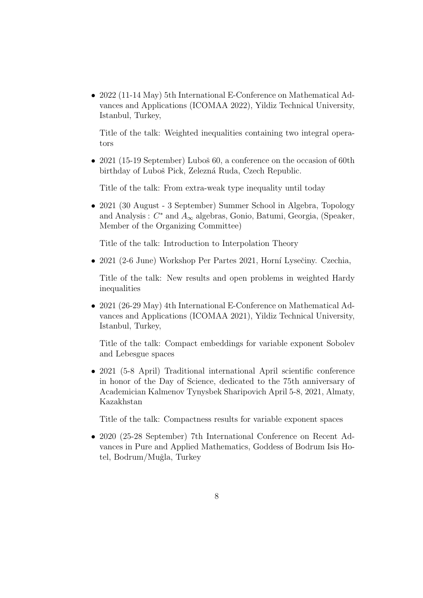• 2022 (11-14 May) 5th International E-Conference on Mathematical Advances and Applications (ICOMAA 2022), Yildiz Technical University, Istanbul, Turkey,

Title of the talk: Weighted inequalities containing two integral operators

• 2021 (15-19 September) Luboš 60, a conference on the occasion of 60th birthday of Luboš Pick, Zelezná Ruda, Czech Republic.

Title of the talk: From extra-weak type inequality until today

• 2021 (30 August - 3 September) Summer School in Algebra, Topology and Analysis :  $C^*$  and  $A_{\infty}$  algebras, Gonio, Batumi, Georgia, (Speaker, Member of the Organizing Committee)

Title of the talk: Introduction to Interpolation Theory

• 2021 (2-6 June) Workshop Per Partes 2021, Horní Lysečiny. Czechia,

Title of the talk: New results and open problems in weighted Hardy inequalities

• 2021 (26-29 May) 4th International E-Conference on Mathematical Advances and Applications (ICOMAA 2021), Yildiz Technical University, Istanbul, Turkey,

Title of the talk: Compact embeddings for variable exponent Sobolev and Lebesgue spaces

• 2021 (5-8 April) Traditional international April scientific conference in honor of the Day of Science, dedicated to the 75th anniversary of Academician Kalmenov Tynysbek Sharipovich April 5-8, 2021, Almaty, Kazakhstan

Title of the talk: Compactness results for variable exponent spaces

• 2020 (25-28 September) 7th International Conference on Recent Advances in Pure and Applied Mathematics, Goddess of Bodrum Isis Hotel, Bodrum/Muğla, Turkey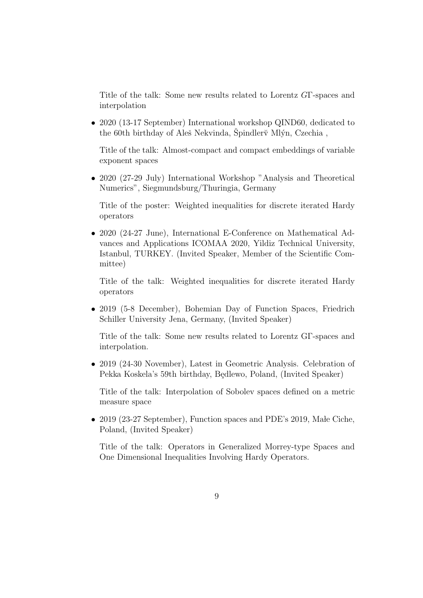Title of the talk: Some new results related to Lorentz GΓ-spaces and interpolation

• 2020 (13-17 September) International workshop QIND60, dedicated to the 60th birthday of Aleš Nekvinda, Špindler $\breve{\mathbf{v}}$  Mlýn, Czechia,

Title of the talk: Almost-compact and compact embeddings of variable exponent spaces

• 2020 (27-29 July) International Workshop "Analysis and Theoretical Numerics", Siegmundsburg/Thuringia, Germany

Title of the poster: Weighted inequalities for discrete iterated Hardy operators

• 2020 (24-27 June), International E-Conference on Mathematical Advances and Applications ICOMAA 2020, Yildiz Technical University, Istanbul, TURKEY. (Invited Speaker, Member of the Scientific Committee)

Title of the talk: Weighted inequalities for discrete iterated Hardy operators

• 2019 (5-8 December), Bohemian Day of Function Spaces, Friedrich Schiller University Jena, Germany, (Invited Speaker)

Title of the talk: Some new results related to Lorentz GΓ-spaces and interpolation.

• 2019 (24-30 November), Latest in Geometric Analysis. Celebration of Pekka Koskela's 59th birthday, Będlewo, Poland, (Invited Speaker)

Title of the talk: Interpolation of Sobolev spaces defined on a metric measure space

• 2019 (23-27 September), Function spaces and PDE's 2019, Male Ciche, Poland, (Invited Speaker)

Title of the talk: Operators in Generalized Morrey-type Spaces and One Dimensional Inequalities Involving Hardy Operators.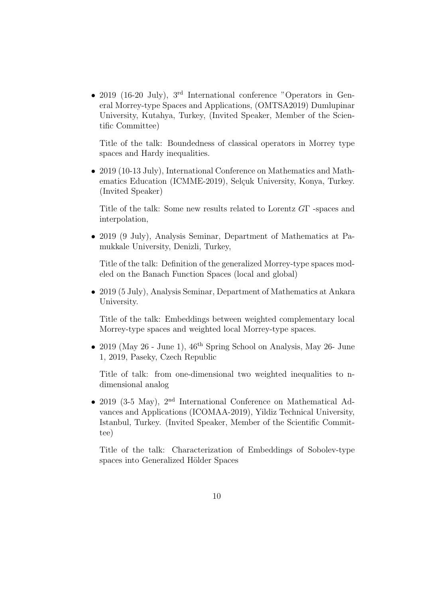• 2019 (16-20 July), 3<sup>rd</sup> International conference "Operators in General Morrey-type Spaces and Applications, (OMTSA2019) Dumlupinar University, Kutahya, Turkey, (Invited Speaker, Member of the Scientific Committee)

Title of the talk: Boundedness of classical operators in Morrey type spaces and Hardy inequalities.

• 2019 (10-13 July), International Conference on Mathematics and Mathematics Education (ICMME-2019), Selçuk University, Konya, Turkey. (Invited Speaker)

Title of the talk: Some new results related to Lorentz GΓ -spaces and interpolation,

• 2019 (9 July), Analysis Seminar, Department of Mathematics at Pamukkale University, Denizli, Turkey,

Title of the talk: Definition of the generalized Morrey-type spaces modeled on the Banach Function Spaces (local and global)

• 2019 (5 July), Analysis Seminar, Department of Mathematics at Ankara University.

Title of the talk: Embeddings between weighted complementary local Morrey-type spaces and weighted local Morrey-type spaces.

• 2019 (May 26 - June 1),  $46^{\text{th}}$  Spring School on Analysis, May 26- June 1, 2019, Paseky, Czech Republic

Title of talk: from one-dimensional two weighted inequalities to ndimensional analog

• 2019 (3-5 May), 2<sup>nd</sup> International Conference on Mathematical Advances and Applications (ICOMAA-2019), Yildiz Technical University, Istanbul, Turkey. (Invited Speaker, Member of the Scientific Committee)

Title of the talk: Characterization of Embeddings of Sobolev-type spaces into Generalized Hölder Spaces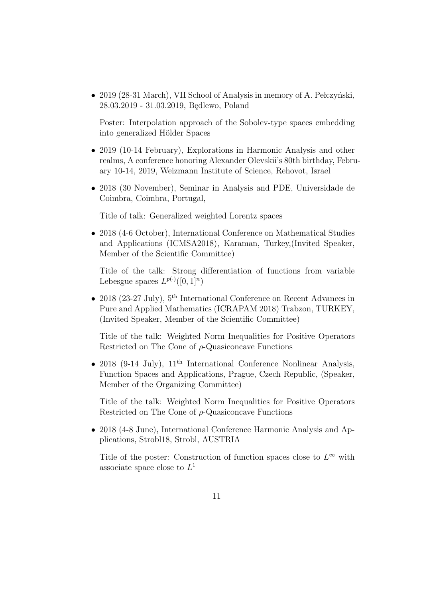• 2019 (28-31 March), VII School of Analysis in memory of A. Pełczyński, 28.03.2019 - 31.03.2019, Bedlewo, Poland

Poster: Interpolation approach of the Sobolev-type spaces embedding into generalized Hölder Spaces

- 2019 (10-14 February), Explorations in Harmonic Analysis and other realms, A conference honoring Alexander Olevskii's 80th birthday, February 10-14, 2019, Weizmann Institute of Science, Rehovot, Israel
- 2018 (30 November), Seminar in Analysis and PDE, Universidade de Coimbra, Coimbra, Portugal,

Title of talk: Generalized weighted Lorentz spaces

• 2018 (4-6 October), International Conference on Mathematical Studies and Applications (ICMSA2018), Karaman, Turkey,(Invited Speaker, Member of the Scientific Committee)

Title of the talk: Strong differentiation of functions from variable Lebesgue spaces  $L^{p(\cdot)}([0,1]^n)$ 

• 2018 (23-27 July), 5<sup>th</sup> International Conference on Recent Advances in Pure and Applied Mathematics (ICRAPAM 2018) Trabzon, TURKEY, (Invited Speaker, Member of the Scientific Committee)

Title of the talk: Weighted Norm Inequalities for Positive Operators Restricted on The Cone of  $\rho$ -Quasiconcave Functions

• 2018 (9-14 July),  $11<sup>th</sup> International Conference Nonlinear Analysis,$ Function Spaces and Applications, Prague, Czech Republic, (Speaker, Member of the Organizing Committee)

Title of the talk: Weighted Norm Inequalities for Positive Operators Restricted on The Cone of  $\rho$ -Quasiconcave Functions

• 2018 (4-8 June), International Conference Harmonic Analysis and Applications, Strobl18, Strobl, AUSTRIA

Title of the poster: Construction of function spaces close to  $L^{\infty}$  with associate space close to  $L^1$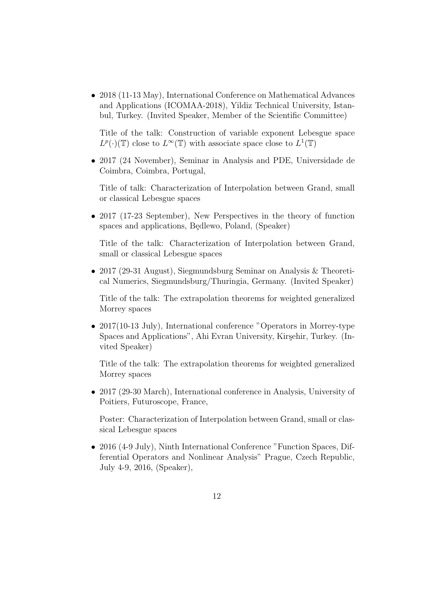• 2018 (11-13 May), International Conference on Mathematical Advances and Applications (ICOMAA-2018), Yildiz Technical University, Istanbul, Turkey. (Invited Speaker, Member of the Scientific Committee)

Title of the talk: Construction of variable exponent Lebesgue space  $L^p(\cdot)(\mathbb{T})$  close to  $L^{\infty}(\mathbb{T})$  with associate space close to  $L^1(\mathbb{T})$ 

• 2017 (24 November), Seminar in Analysis and PDE, Universidade de Coimbra, Coimbra, Portugal,

Title of talk: Characterization of Interpolation between Grand, small or classical Lebesgue spaces

• 2017 (17-23 September), New Perspectives in the theory of function spaces and applications, Bedlewo, Poland, (Speaker)

Title of the talk: Characterization of Interpolation between Grand, small or classical Lebesgue spaces

• 2017 (29-31 August), Siegmundsburg Seminar on Analysis & Theoretical Numerics, Siegmundsburg/Thuringia, Germany. (Invited Speaker)

Title of the talk: The extrapolation theorems for weighted generalized Morrey spaces

• 2017(10-13 July), International conference "Operators in Morrey-type Spaces and Applications", Ahi Evran University, Kirşehir, Turkey. (Invited Speaker)

Title of the talk: The extrapolation theorems for weighted generalized Morrey spaces

• 2017 (29-30 March), International conference in Analysis, University of Poitiers, Futuroscope, France,

Poster: Characterization of Interpolation between Grand, small or classical Lebesgue spaces

• 2016 (4-9 July), Ninth International Conference "Function Spaces, Differential Operators and Nonlinear Analysis" Prague, Czech Republic, July 4-9, 2016, (Speaker),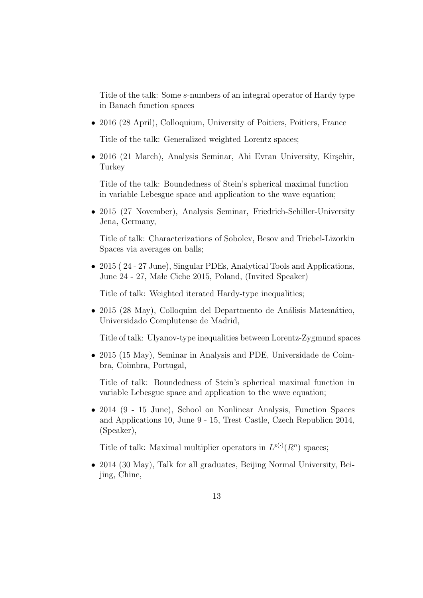Title of the talk: Some s-numbers of an integral operator of Hardy type in Banach function spaces

• 2016 (28 April), Colloquium, University of Poitiers, Poitiers, France

Title of the talk: Generalized weighted Lorentz spaces;

• 2016 (21 March), Analysis Seminar, Ahi Evran University, Kirsehir, **Turkey** 

Title of the talk: Boundedness of Stein's spherical maximal function in variable Lebesgue space and application to the wave equation;

• 2015 (27 November), Analysis Seminar, Friedrich-Schiller-University Jena, Germany,

Title of talk: Characterizations of Sobolev, Besov and Triebel-Lizorkin Spaces via averages on balls;

• 2015 (24 - 27 June), Singular PDEs, Analytical Tools and Applications, June 24 - 27, Male Ciche 2015, Poland, (Invited Speaker)

Title of talk: Weighted iterated Hardy-type inequalities;

• 2015 (28 May), Colloquim del Departmento de Análisis Matemático, Universidado Complutense de Madrid,

Title of talk: Ulyanov-type inequalities between Lorentz-Zygmund spaces

• 2015 (15 May), Seminar in Analysis and PDE, Universidade de Coimbra, Coimbra, Portugal,

Title of talk: Boundedness of Stein's spherical maximal function in variable Lebesgue space and application to the wave equation;

• 2014 (9 - 15 June), School on Nonlinear Analysis, Function Spaces and Applications 10, June 9 - 15, Trest Castle, Czech Republicn 2014, (Speaker),

Title of talk: Maximal multiplier operators in  $L^{p(\cdot)}(R^n)$  spaces;

• 2014 (30 May), Talk for all graduates, Beiling Normal University, Beijing, Chine,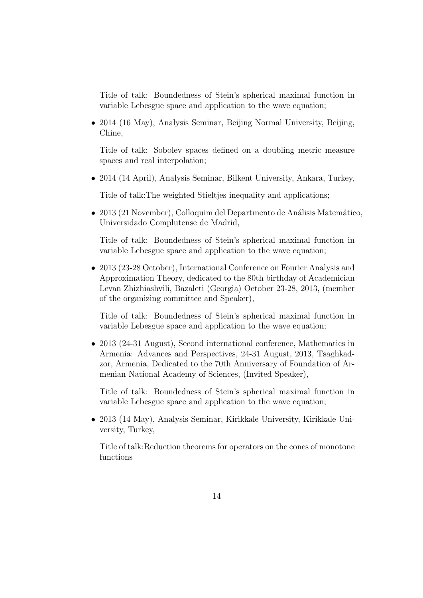Title of talk: Boundedness of Stein's spherical maximal function in variable Lebesgue space and application to the wave equation;

• 2014 (16 May), Analysis Seminar, Beijing Normal University, Beijing, Chine,

Title of talk: Sobolev spaces defined on a doubling metric measure spaces and real interpolation;

• 2014 (14 April), Analysis Seminar, Bilkent University, Ankara, Turkey,

Title of talk:The weighted Stieltjes inequality and applications;

• 2013 (21 November), Colloquim del Departmento de Análisis Matemático, Universidado Complutense de Madrid,

Title of talk: Boundedness of Stein's spherical maximal function in variable Lebesgue space and application to the wave equation;

• 2013 (23-28 October), International Conference on Fourier Analysis and Approximation Theory, dedicated to the 80th birthday of Academician Levan Zhizhiashvili, Bazaleti (Georgia) October 23-28, 2013, (member of the organizing committee and Speaker),

Title of talk: Boundedness of Stein's spherical maximal function in variable Lebesgue space and application to the wave equation;

• 2013 (24-31 August), Second international conference, Mathematics in Armenia: Advances and Perspectives, 24-31 August, 2013, Tsaghkadzor, Armenia, Dedicated to the 70th Anniversary of Foundation of Armenian National Academy of Sciences, (Invited Speaker),

Title of talk: Boundedness of Stein's spherical maximal function in variable Lebesgue space and application to the wave equation;

• 2013 (14 May), Analysis Seminar, Kirikkale University, Kirikkale University, Turkey,

Title of talk:Reduction theorems for operators on the cones of monotone functions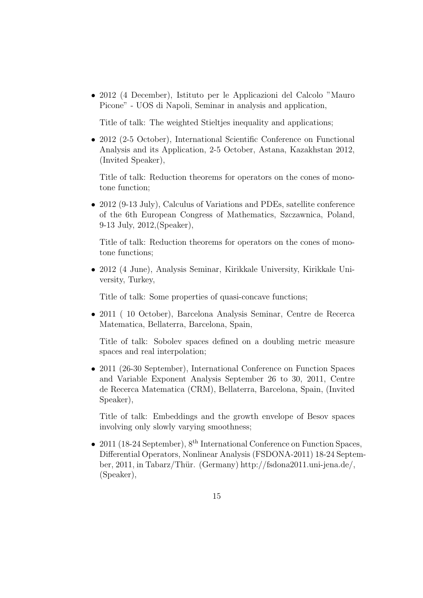• 2012 (4 December), Istituto per le Applicazioni del Calcolo "Mauro Picone" - UOS di Napoli, Seminar in analysis and application,

Title of talk: The weighted Stieltjes inequality and applications;

• 2012 (2-5 October), International Scientific Conference on Functional Analysis and its Application, 2-5 October, Astana, Kazakhstan 2012, (Invited Speaker),

Title of talk: Reduction theorems for operators on the cones of monotone function;

• 2012 (9-13 July), Calculus of Variations and PDEs, satellite conference of the 6th European Congress of Mathematics, Szczawnica, Poland, 9-13 July, 2012,(Speaker),

Title of talk: Reduction theorems for operators on the cones of monotone functions;

• 2012 (4 June), Analysis Seminar, Kirikkale University, Kirikkale University, Turkey,

Title of talk: Some properties of quasi-concave functions;

• 2011 ( 10 October), Barcelona Analysis Seminar, Centre de Recerca Matematica, Bellaterra, Barcelona, Spain,

Title of talk: Sobolev spaces defined on a doubling metric measure spaces and real interpolation;

• 2011 (26-30 September), International Conference on Function Spaces and Variable Exponent Analysis September 26 to 30, 2011, Centre de Recerca Matematica (CRM), Bellaterra, Barcelona, Spain, (Invited Speaker),

Title of talk: Embeddings and the growth envelope of Besov spaces involving only slowly varying smoothness;

• 2011 (18-24 September),  $8^{th}$  International Conference on Function Spaces, Differential Operators, Nonlinear Analysis (FSDONA-2011) 18-24 September, 2011, in Tabarz/Thür. (Germany) http://fsdona2011.uni-jena.de/, (Speaker),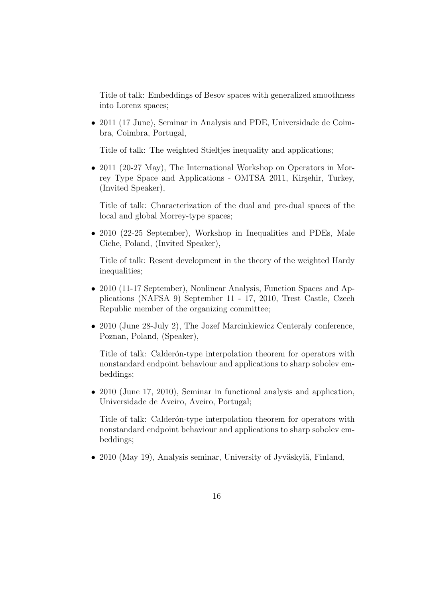Title of talk: Embeddings of Besov spaces with generalized smoothness into Lorenz spaces;

• 2011 (17 June), Seminar in Analysis and PDE, Universidade de Coimbra, Coimbra, Portugal,

Title of talk: The weighted Stieltjes inequality and applications;

• 2011 (20-27 May), The International Workshop on Operators in Morrey Type Space and Applications - OMTSA 2011, Kirşehir, Turkey, (Invited Speaker),

Title of talk: Characterization of the dual and pre-dual spaces of the local and global Morrey-type spaces;

• 2010 (22-25 September), Workshop in Inequalities and PDEs, Male Ciche, Poland, (Invited Speaker),

Title of talk: Resent development in the theory of the weighted Hardy inequalities;

- 2010 (11-17 September), Nonlinear Analysis, Function Spaces and Applications (NAFSA 9) September 11 - 17, 2010, Trest Castle, Czech Republic member of the organizing committee;
- 2010 (June 28-July 2), The Jozef Marcinkiewicz Centeraly conference, Poznan, Poland, (Speaker),

Title of talk: Calderón-type interpolation theorem for operators with nonstandard endpoint behaviour and applications to sharp sobolev embeddings;

• 2010 (June 17, 2010), Seminar in functional analysis and application, Universidade de Aveiro, Aveiro, Portugal;

Title of talk: Calder<sub>on-type</sub> interpolation theorem for operators with nonstandard endpoint behaviour and applications to sharp sobolev embeddings;

• 2010 (May 19), Analysis seminar, University of Jyväskylä, Finland,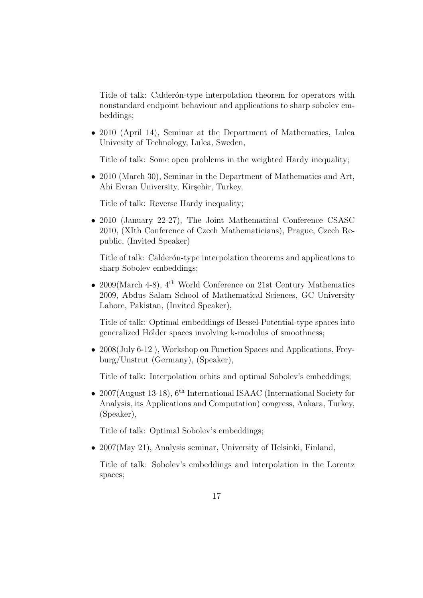Title of talk: Calder<sub>on-type</sub> interpolation theorem for operators with nonstandard endpoint behaviour and applications to sharp sobolev embeddings;

• 2010 (April 14), Seminar at the Department of Mathematics, Lulea Univesity of Technology, Lulea, Sweden,

Title of talk: Some open problems in the weighted Hardy inequality;

• 2010 (March 30), Seminar in the Department of Mathematics and Art, Ahi Evran University, Kirşehir, Turkey,

Title of talk: Reverse Hardy inequality;

• 2010 (January 22-27), The Joint Mathematical Conference CSASC 2010, (XIth Conference of Czech Mathematicians), Prague, Czech Republic, (Invited Speaker)

Title of talk: Calderón-type interpolation theorems and applications to sharp Sobolev embeddings;

• 2009(March 4-8),  $4^{\text{th}}$  World Conference on 21st Century Mathematics 2009, Abdus Salam School of Mathematical Sciences, GC University Lahore, Pakistan, (Invited Speaker),

Title of talk: Optimal embeddings of Bessel-Potential-type spaces into generalized Hölder spaces involving k-modulus of smoothness;

• 2008(July 6-12), Workshop on Function Spaces and Applications, Freyburg/Unstrut (Germany), (Speaker),

Title of talk: Interpolation orbits and optimal Sobolev's embeddings;

• 2007(August 13-18),  $6^{th}$  International ISAAC (International Society for Analysis, its Applications and Computation) congress, Ankara, Turkey, (Speaker),

Title of talk: Optimal Sobolev's embeddings;

• 2007(May 21), Analysis seminar, University of Helsinki, Finland,

Title of talk: Sobolev's embeddings and interpolation in the Lorentz spaces;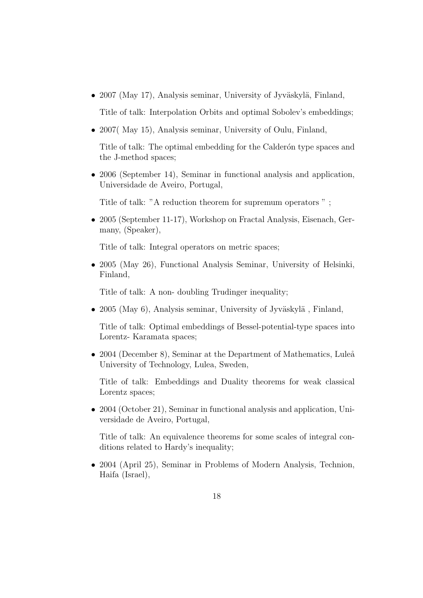• 2007 (May 17), Analysis seminar, University of Jyväskylä, Finland,

Title of talk: Interpolation Orbits and optimal Sobolev's embeddings;

• 2007( May 15), Analysis seminar, University of Oulu, Finland,

Title of talk: The optimal embedding for the Calderon type spaces and the J-method spaces;

• 2006 (September 14), Seminar in functional analysis and application, Universidade de Aveiro, Portugal,

Title of talk: "A reduction theorem for supremum operators " ;

• 2005 (September 11-17), Workshop on Fractal Analysis, Eisenach, Germany, (Speaker),

Title of talk: Integral operators on metric spaces;

• 2005 (May 26), Functional Analysis Seminar, University of Helsinki, Finland,

Title of talk: A non- doubling Trudinger inequality;

• 2005 (May 6), Analysis seminar, University of Jyväskylä, Finland,

Title of talk: Optimal embeddings of Bessel-potential-type spaces into Lorentz- Karamata spaces;

• 2004 (December 8), Seminar at the Department of Mathematics, Luleå University of Technology, Lulea, Sweden,

Title of talk: Embeddings and Duality theorems for weak classical Lorentz spaces;

• 2004 (October 21), Seminar in functional analysis and application, Universidade de Aveiro, Portugal,

Title of talk: An equivalence theorems for some scales of integral conditions related to Hardy's inequality;

• 2004 (April 25), Seminar in Problems of Modern Analysis, Technion, Haifa (Israel),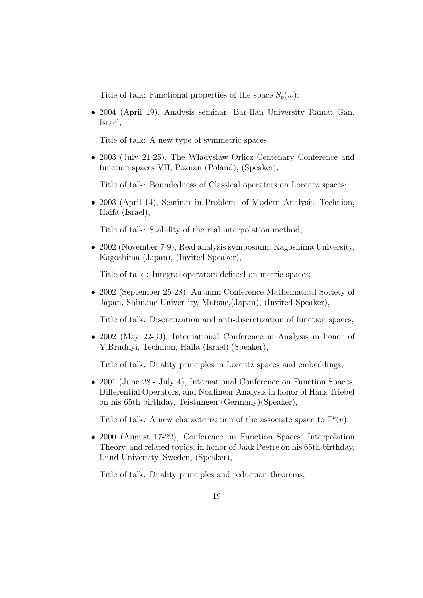Title of talk: Functional properties of the space  $S_p(w)$ ;

• 2004 (April 19), Analysis seminar, Bar-Ilan University Ramat Gan, Israel,

Title of talk: A new type of symmetric spaces;

• 2003 (July 21-25), The Wladyslaw Orlicz Centenary Conference and function spaces VII, Poznan (Poland), (Speaker),

Title of talk: Boundedness of Classical operators on Lorentz spaces;

• 2003 (April 14), Seminar in Problems of Modern Analysis, Technion, Haifa (Israel),

Title of talk: Stability of the real interpolation method;

• 2002 (November 7-9), Real analysis symposium, Kagoshima University, Kagoshima (Japan), (Invited Speaker),

Title of talk : Integral operators defined on metric spaces;

• 2002 (September 25-28), Autumn Conference Mathematical Society of Japan, Shimane University, Matsue,(Japan), (Invited Speaker),

Title of talk: Discretization and anti-discretization of function spaces;

• 2002 (May 22-30), International Conference in Analysis in honor of Y.Brudnyi, Technion, Haifa (Israel),(Speaker),

Title of talk: Duality principles in Lorentz spaces and embeddings;

• 2001 (June 28 - July 4), International Conference on Function Spaces, Differential Operators, and Nonlinear Analysis in honor of Hans Triebel on his 65th birthday, Teistungen (Germany)(Speaker),

Title of talk: A new characterization of the associate space to  $\Gamma^p(v)$ ;

• 2000 (August 17-22), Conference on Function Spaces, Interpolation Theory, and related topics, in honor of Jaak Peetre on his 65th birthday, Lund University, Sweden, (Speaker),

Title of talk: Duality principles and reduction theorems;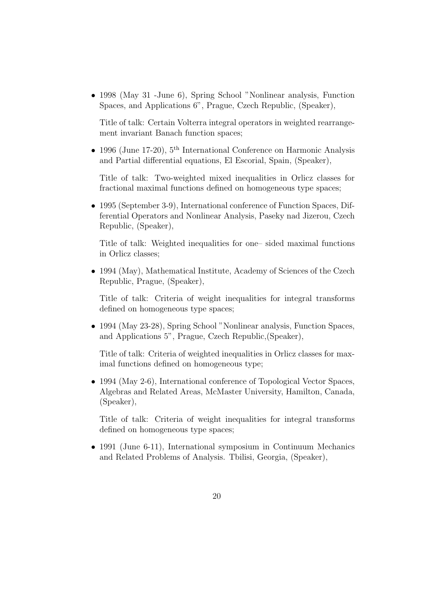• 1998 (May 31 -June 6), Spring School "Nonlinear analysis, Function Spaces, and Applications 6", Prague, Czech Republic, (Speaker),

Title of talk: Certain Volterra integral operators in weighted rearrangement invariant Banach function spaces;

• 1996 (June 17-20),  $5^{\text{th}}$  International Conference on Harmonic Analysis and Partial differential equations, El Escorial, Spain, (Speaker),

Title of talk: Two-weighted mixed inequalities in Orlicz classes for fractional maximal functions defined on homogeneous type spaces;

• 1995 (September 3-9), International conference of Function Spaces, Differential Operators and Nonlinear Analysis, Paseky nad Jizerou, Czech Republic, (Speaker),

Title of talk: Weighted inequalities for one– sided maximal functions in Orlicz classes;

• 1994 (May), Mathematical Institute, Academy of Sciences of the Czech Republic, Prague, (Speaker),

Title of talk: Criteria of weight inequalities for integral transforms defined on homogeneous type spaces;

• 1994 (May 23-28), Spring School "Nonlinear analysis, Function Spaces, and Applications 5", Prague, Czech Republic,(Speaker),

Title of talk: Criteria of weighted inequalities in Orlicz classes for maximal functions defined on homogeneous type;

• 1994 (May 2-6), International conference of Topological Vector Spaces, Algebras and Related Areas, McMaster University, Hamilton, Canada, (Speaker),

Title of talk: Criteria of weight inequalities for integral transforms defined on homogeneous type spaces;

• 1991 (June 6-11), International symposium in Continuum Mechanics and Related Problems of Analysis. Tbilisi, Georgia, (Speaker),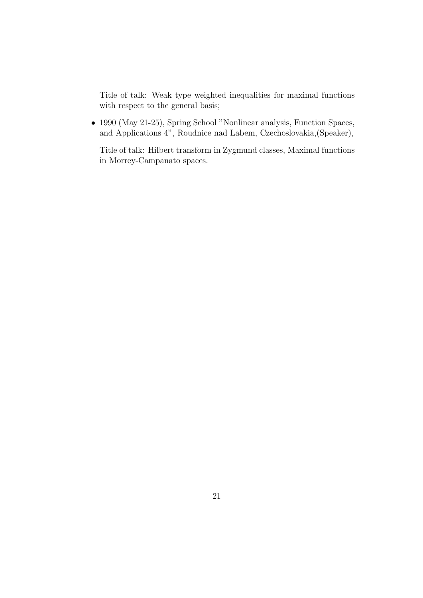Title of talk: Weak type weighted inequalities for maximal functions with respect to the general basis;

• 1990 (May 21-25), Spring School "Nonlinear analysis, Function Spaces, and Applications 4", Roudnice nad Labem, Czechoslovakia,(Speaker),

Title of talk: Hilbert transform in Zygmund classes, Maximal functions in Morrey-Campanato spaces.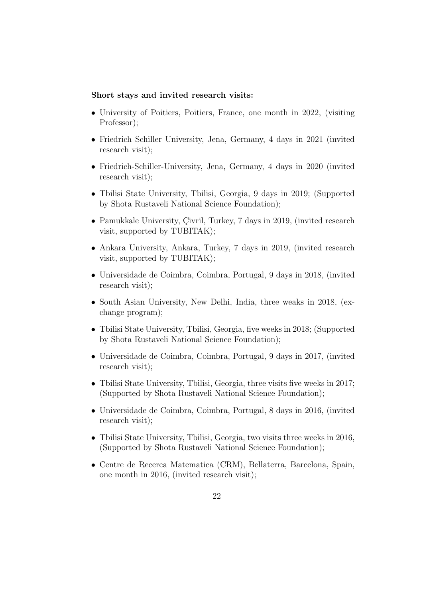#### Short stays and invited research visits:

- University of Poitiers, Poitiers, France, one month in 2022, (visiting Professor);
- Friedrich Schiller University, Jena, Germany, 4 days in 2021 (invited research visit);
- Friedrich-Schiller-University, Jena, Germany, 4 days in 2020 (invited research visit);
- Tbilisi State University, Tbilisi, Georgia, 9 days in 2019; (Supported by Shota Rustaveli National Science Foundation);
- Pamukkale University, Çivril, Turkey,  $7$  days in 2019, (invited research visit, supported by TUBITAK);
- Ankara University, Ankara, Turkey, 7 days in 2019, (invited research visit, supported by TUBITAK);
- Universidade de Coimbra, Coimbra, Portugal, 9 days in 2018, (invited research visit);
- South Asian University, New Delhi, India, three weaks in 2018, (exchange program);
- Tbilisi State University, Tbilisi, Georgia, five weeks in 2018; (Supported by Shota Rustaveli National Science Foundation);
- Universidade de Coimbra, Coimbra, Portugal, 9 days in 2017, (invited research visit);
- Tbilisi State University, Tbilisi, Georgia, three visits five weeks in 2017; (Supported by Shota Rustaveli National Science Foundation);
- Universidade de Coimbra, Coimbra, Portugal, 8 days in 2016, (invited research visit);
- Tbilisi State University, Tbilisi, Georgia, two visits three weeks in 2016, (Supported by Shota Rustaveli National Science Foundation);
- Centre de Recerca Matematica (CRM), Bellaterra, Barcelona, Spain, one month in 2016, (invited research visit);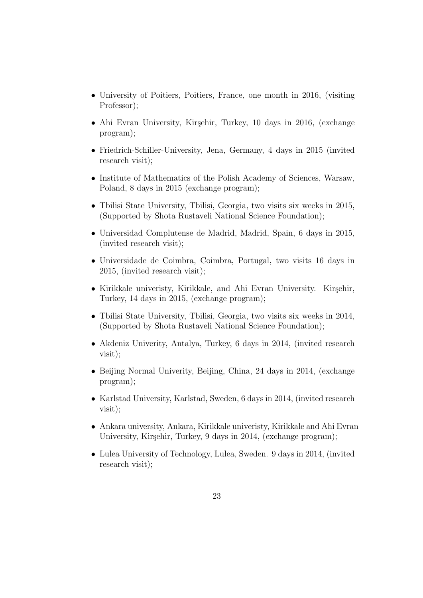- University of Poitiers, Poitiers, France, one month in 2016, (visiting Professor);
- Ahi Evran University, Kirşehir, Turkey, 10 days in 2016, (exchange program);
- Friedrich-Schiller-University, Jena, Germany, 4 days in 2015 (invited research visit);
- Institute of Mathematics of the Polish Academy of Sciences, Warsaw, Poland, 8 days in 2015 (exchange program);
- Tbilisi State University, Tbilisi, Georgia, two visits six weeks in 2015, (Supported by Shota Rustaveli National Science Foundation);
- Universidad Complutense de Madrid, Madrid, Spain, 6 days in 2015, (invited research visit);
- Universidade de Coimbra, Coimbra, Portugal, two visits 16 days in 2015, (invited research visit);
- Kirikkale univeristy, Kirikkale, and Ahi Evran University. Kirşehir, Turkey, 14 days in 2015, (exchange program);
- Tbilisi State University, Tbilisi, Georgia, two visits six weeks in 2014, (Supported by Shota Rustaveli National Science Foundation);
- Akdeniz Univerity, Antalya, Turkey, 6 days in 2014, (invited research visit);
- Beijing Normal Univerity, Beijing, China, 24 days in 2014, (exchange program);
- Karlstad University, Karlstad, Sweden, 6 days in 2014, (invited research visit);
- Ankara university, Ankara, Kirikkale univeristy, Kirikkale and Ahi Evran University, Kirşehir, Turkey, 9 days in 2014, (exchange program);
- Lulea University of Technology, Lulea, Sweden. 9 days in 2014, (invited research visit);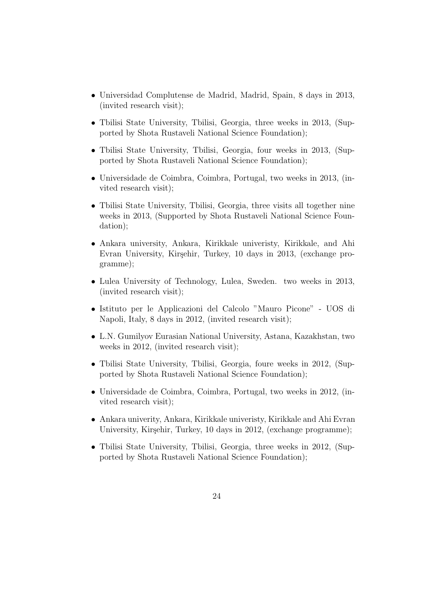- Universidad Complutense de Madrid, Madrid, Spain, 8 days in 2013, (invited research visit);
- Tbilisi State University, Tbilisi, Georgia, three weeks in 2013, (Supported by Shota Rustaveli National Science Foundation);
- Tbilisi State University, Tbilisi, Georgia, four weeks in 2013, (Supported by Shota Rustaveli National Science Foundation);
- Universidade de Coimbra, Coimbra, Portugal, two weeks in 2013, (invited research visit);
- Tbilisi State University, Tbilisi, Georgia, three visits all together nine weeks in 2013, (Supported by Shota Rustaveli National Science Foundation);
- Ankara university, Ankara, Kirikkale univeristy, Kirikkale, and Ahi Evran University, Kirşehir, Turkey, 10 days in 2013, (exchange programme);
- Lulea University of Technology, Lulea, Sweden. two weeks in 2013, (invited research visit);
- Istituto per le Applicazioni del Calcolo "Mauro Picone" UOS di Napoli, Italy, 8 days in 2012, (invited research visit);
- L.N. Gumilyov Eurasian National University, Astana, Kazakhstan, two weeks in 2012, (invited research visit);
- Tbilisi State University, Tbilisi, Georgia, foure weeks in 2012, (Supported by Shota Rustaveli National Science Foundation);
- Universidade de Coimbra, Coimbra, Portugal, two weeks in 2012, (invited research visit);
- Ankara univerity, Ankara, Kirikkale univeristy, Kirikkale and Ahi Evran University, Kirşehir, Turkey, 10 days in 2012, (exchange programme);
- Tbilisi State University, Tbilisi, Georgia, three weeks in 2012, (Supported by Shota Rustaveli National Science Foundation);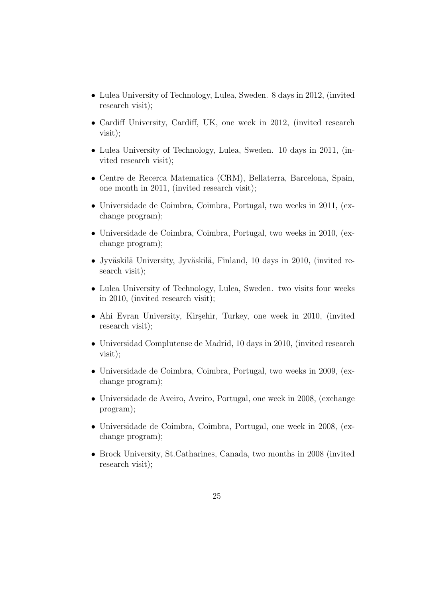- Lulea University of Technology, Lulea, Sweden. 8 days in 2012, (invited research visit);
- Cardiff University, Cardiff, UK, one week in 2012, (invited research visit);
- Lulea University of Technology, Lulea, Sweden. 10 days in 2011, (invited research visit);
- Centre de Recerca Matematica (CRM), Bellaterra, Barcelona, Spain, one month in 2011, (invited research visit);
- Universidade de Coimbra, Coimbra, Portugal, two weeks in 2011, (exchange program);
- Universidade de Coimbra, Coimbra, Portugal, two weeks in 2010, (exchange program);
- Jyväskilä University, Jyväskilä, Finland, 10 days in 2010, (invited research visit);
- Lulea University of Technology, Lulea, Sweden. two visits four weeks in 2010, (invited research visit);
- Ahi Evran University, Kirşehir, Turkey, one week in 2010, (invited research visit);
- Universidad Complutense de Madrid, 10 days in 2010, (invited research visit);
- Universidade de Coimbra, Coimbra, Portugal, two weeks in 2009, (exchange program);
- Universidade de Aveiro, Aveiro, Portugal, one week in 2008, (exchange program);
- Universidade de Coimbra, Coimbra, Portugal, one week in 2008, (exchange program);
- Brock University, St.Catharines, Canada, two months in 2008 (invited research visit);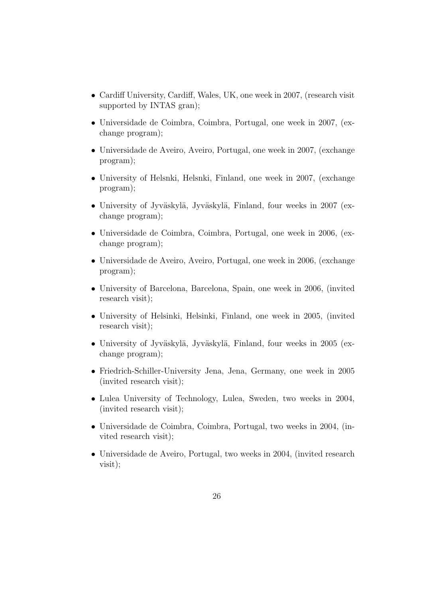- Cardiff University, Cardiff, Wales, UK, one week in 2007, (research visit supported by INTAS gran);
- Universidade de Coimbra, Coimbra, Portugal, one week in 2007, (exchange program);
- Universidade de Aveiro, Aveiro, Portugal, one week in 2007, (exchange program);
- University of Helsnki, Helsnki, Finland, one week in 2007, (exchange program);
- University of Jyväskylä, Jyväskylä, Finland, four weeks in 2007 (exchange program);
- Universidade de Coimbra, Coimbra, Portugal, one week in 2006, (exchange program);
- Universidade de Aveiro, Aveiro, Portugal, one week in 2006, (exchange program);
- University of Barcelona, Barcelona, Spain, one week in 2006, (invited research visit);
- University of Helsinki, Helsinki, Finland, one week in 2005, (invited research visit);
- University of Jyväskylä, Jyväskylä, Finland, four weeks in 2005 (exchange program);
- Friedrich-Schiller-University Jena, Jena, Germany, one week in 2005 (invited research visit);
- Lulea University of Technology, Lulea, Sweden, two weeks in 2004, (invited research visit);
- Universidade de Coimbra, Coimbra, Portugal, two weeks in 2004, (invited research visit);
- Universidade de Aveiro, Portugal, two weeks in 2004, (invited research visit);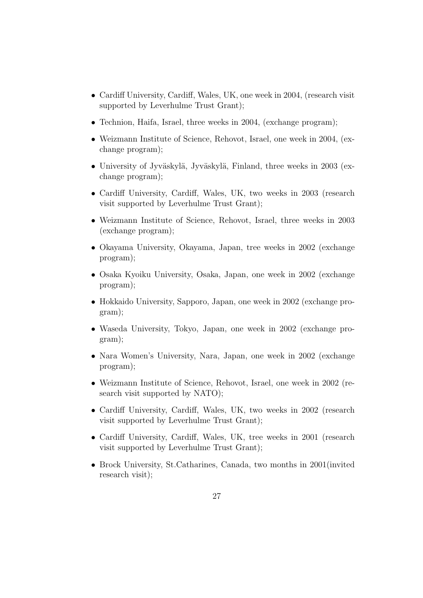- Cardiff University, Cardiff, Wales, UK, one week in 2004, (research visit supported by Leverhulme Trust Grant);
- Technion, Haifa, Israel, three weeks in 2004, (exchange program);
- Weizmann Institute of Science, Rehovot, Israel, one week in 2004, (exchange program);
- University of Jyväskylä, Jyväskylä, Finland, three weeks in 2003 (exchange program);
- Cardiff University, Cardiff, Wales, UK, two weeks in 2003 (research visit supported by Leverhulme Trust Grant);
- Weizmann Institute of Science, Rehovot, Israel, three weeks in 2003 (exchange program);
- Okayama University, Okayama, Japan, tree weeks in 2002 (exchange program);
- Osaka Kyoiku University, Osaka, Japan, one week in 2002 (exchange program);
- Hokkaido University, Sapporo, Japan, one week in 2002 (exchange program);
- Waseda University, Tokyo, Japan, one week in 2002 (exchange program);
- Nara Women's University, Nara, Japan, one week in 2002 (exchange program);
- Weizmann Institute of Science, Rehovot, Israel, one week in 2002 (research visit supported by NATO);
- Cardiff University, Cardiff, Wales, UK, two weeks in 2002 (research visit supported by Leverhulme Trust Grant);
- Cardiff University, Cardiff, Wales, UK, tree weeks in 2001 (research visit supported by Leverhulme Trust Grant);
- Brock University, St.Catharines, Canada, two months in 2001(invited research visit);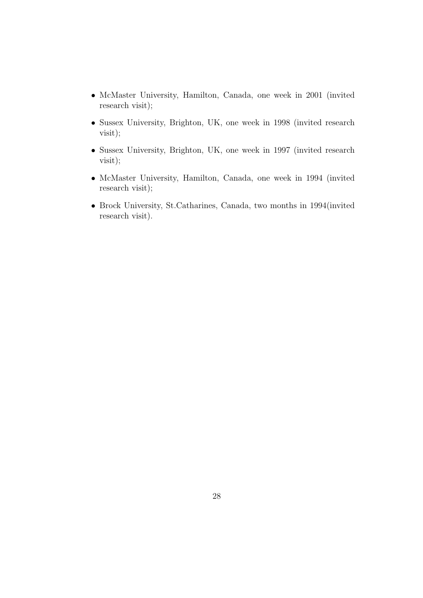- McMaster University, Hamilton, Canada, one week in 2001 (invited research visit);
- Sussex University, Brighton, UK, one week in 1998 (invited research visit);
- Sussex University, Brighton, UK, one week in 1997 (invited research visit);
- McMaster University, Hamilton, Canada, one week in 1994 (invited research visit);
- Brock University, St.Catharines, Canada, two months in 1994(invited research visit).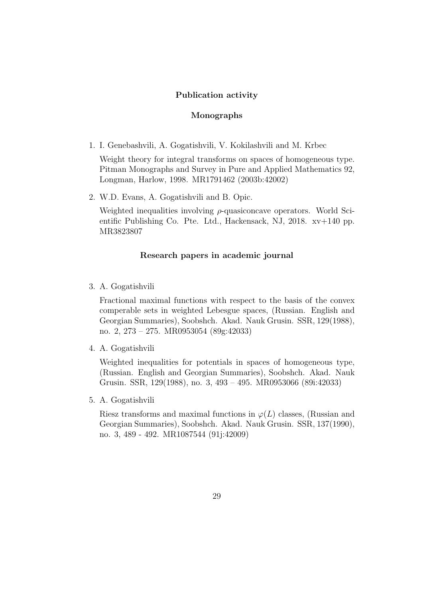### Publication activity

### Monographs

1. I. Genebashvili, A. Gogatishvili, V. Kokilashvili and M. Krbec

Weight theory for integral transforms on spaces of homogeneous type. Pitman Monographs and Survey in Pure and Applied Mathematics 92, Longman, Harlow, 1998. MR1791462 (2003b:42002)

2. W.D. Evans, A. Gogatishvili and B. Opic.

Weighted inequalities involving  $\rho$ -quasiconcave operators. World Scientific Publishing Co. Pte. Ltd., Hackensack, NJ, 2018. xv+140 pp. MR3823807

## Research papers in academic journal

3. A. Gogatishvili

Fractional maximal functions with respect to the basis of the convex comperable sets in weighted Lebesgue spaces, (Russian. English and Georgian Summaries), Soobshch. Akad. Nauk Grusin. SSR, 129(1988), no. 2, 273 – 275. MR0953054 (89g:42033)

4. A. Gogatishvili

Weighted inequalities for potentials in spaces of homogeneous type, (Russian. English and Georgian Summaries), Soobshch. Akad. Nauk Grusin. SSR, 129(1988), no. 3, 493 – 495. MR0953066 (89i:42033)

5. A. Gogatishvili

Riesz transforms and maximal functions in  $\varphi(L)$  classes, (Russian and Georgian Summaries), Soobshch. Akad. Nauk Grusin. SSR, 137(1990), no. 3, 489 - 492. MR1087544 (91j:42009)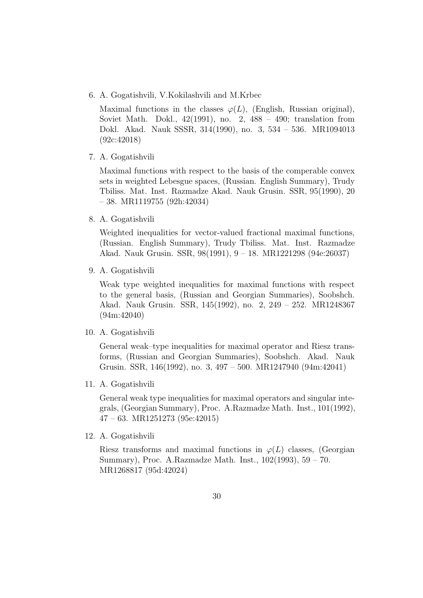6. A. Gogatishvili, V.Kokilashvili and M.Krbec

Maximal functions in the classes  $\varphi(L)$ , (English, Russian original), Soviet Math. Dokl., 42(1991), no. 2, 488 – 490; translation from Dokl. Akad. Nauk SSSR, 314(1990), no. 3, 534 – 536. MR1094013 (92c:42018)

7. A. Gogatishvili

Maximal functions with respect to the basis of the comperable convex sets in weighted Lebesgue spaces, (Russian. English Summary), Trudy Tbiliss. Mat. Inst. Razmadze Akad. Nauk Grusin. SSR, 95(1990), 20 – 38. MR1119755 (92h:42034)

8. A. Gogatishvili

Weighted inequalities for vector-valued fractional maximal functions, (Russian. English Summary), Trudy Tbiliss. Mat. Inst. Razmadze Akad. Nauk Grusin. SSR, 98(1991), 9 – 18. MR1221298 (94e:26037)

9. A. Gogatishvili

Weak type weighted inequalities for maximal functions with respect to the general basis, (Russian and Georgian Summaries), Soobshch. Akad. Nauk Grusin. SSR, 145(1992), no. 2, 249 – 252. MR1248367 (94m:42040)

10. A. Gogatishvili

General weak–type inequalities for maximal operator and Riesz transforms, (Russian and Georgian Summaries), Soobshch. Akad. Nauk Grusin. SSR, 146(1992), no. 3, 497 – 500. MR1247940 (94m:42041)

11. A. Gogatishvili

General weak type inequalities for maximal operators and singular integrals, (Georgian Summary), Proc. A.Razmadze Math. Inst., 101(1992), 47 – 63. MR1251273 (95e:42015)

12. A. Gogatishvili

Riesz transforms and maximal functions in  $\varphi(L)$  classes, (Georgian Summary), Proc. A.Razmadze Math. Inst., 102(1993), 59 – 70. MR1268817 (95d:42024)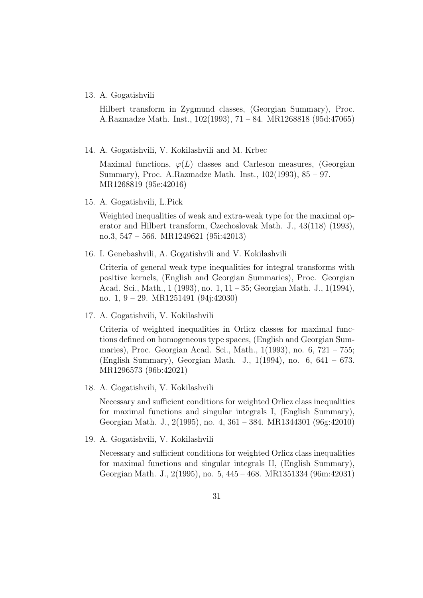#### 13. A. Gogatishvili

Hilbert transform in Zygmund classes, (Georgian Summary), Proc. A.Razmadze Math. Inst., 102(1993), 71 – 84. MR1268818 (95d:47065)

14. A. Gogatishvili, V. Kokilashvili and M. Krbec

Maximal functions,  $\varphi(L)$  classes and Carleson measures, (Georgian Summary), Proc. A.Razmadze Math. Inst., 102(1993), 85 – 97. MR1268819 (95e:42016)

15. A. Gogatishvili, L.Pick

Weighted inequalities of weak and extra-weak type for the maximal operator and Hilbert transform, Czechoslovak Math. J., 43(118) (1993), no.3, 547 – 566. MR1249621 (95i:42013)

16. I. Genebashvili, A. Gogatishvili and V. Kokilashvili

Criteria of general weak type inequalities for integral transforms with positive kernels, (English and Georgian Summaries), Proc. Georgian Acad. Sci., Math., 1 (1993), no. 1, 11 – 35; Georgian Math. J., 1(1994), no. 1, 9 – 29. MR1251491 (94j:42030)

17. A. Gogatishvili, V. Kokilashvili

Criteria of weighted inequalities in Orlicz classes for maximal functions defined on homogeneous type spaces, (English and Georgian Summaries), Proc. Georgian Acad. Sci., Math., 1(1993), no. 6, 721 – 755; (English Summary), Georgian Math. J., 1(1994), no. 6, 641 – 673. MR1296573 (96b:42021)

18. A. Gogatishvili, V. Kokilashvili

Necessary and sufficient conditions for weighted Orlicz class inequalities for maximal functions and singular integrals I, (English Summary), Georgian Math. J., 2(1995), no. 4, 361 – 384. MR1344301 (96g:42010)

19. A. Gogatishvili, V. Kokilashvili

Necessary and sufficient conditions for weighted Orlicz class inequalities for maximal functions and singular integrals II, (English Summary), Georgian Math. J., 2(1995), no. 5, 445 – 468. MR1351334 (96m:42031)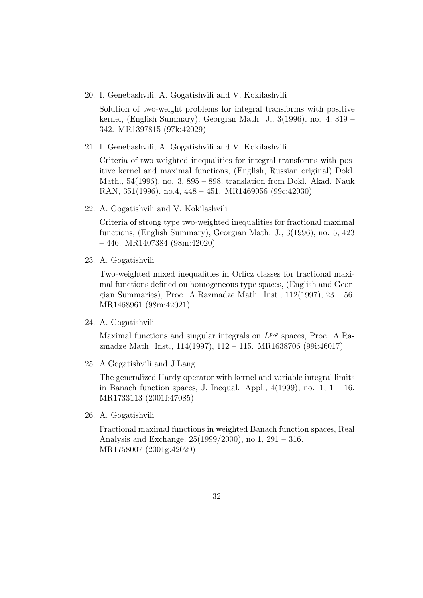20. I. Genebashvili, A. Gogatishvili and V. Kokilashvili

Solution of two-weight problems for integral transforms with positive kernel, (English Summary), Georgian Math. J., 3(1996), no. 4, 319 – 342. MR1397815 (97k:42029)

21. I. Genebashvili, A. Gogatishvili and V. Kokilashvili

Criteria of two-weighted inequalities for integral transforms with positive kernel and maximal functions, (English, Russian original) Dokl. Math., 54(1996), no. 3, 895 – 898, translation from Dokl. Akad. Nauk RAN, 351(1996), no.4, 448 – 451. MR1469056 (99c:42030)

22. A. Gogatishvili and V. Kokilashvili

Criteria of strong type two-weighted inequalities for fractional maximal functions, (English Summary), Georgian Math. J., 3(1996), no. 5, 423 – 446. MR1407384 (98m:42020)

23. A. Gogatishvili

Two-weighted mixed inequalities in Orlicz classes for fractional maximal functions defined on homogeneous type spaces, (English and Georgian Summaries), Proc. A.Razmadze Math. Inst.,  $112(1997)$ ,  $23 - 56$ . MR1468961 (98m:42021)

24. A. Gogatishvili

Maximal functions and singular integrals on  $L^{p,\varphi}$  spaces, Proc. A.Razmadze Math. Inst., 114(1997), 112 – 115. MR1638706 (99i:46017)

25. A.Gogatishvili and J.Lang

The generalized Hardy operator with kernel and variable integral limits in Banach function spaces, J. Inequal. Appl.,  $4(1999)$ , no. 1,  $1 - 16$ . MR1733113 (2001f:47085)

26. A. Gogatishvili

Fractional maximal functions in weighted Banach function spaces, Real Analysis and Exchange, 25(1999/2000), no.1, 291 – 316. MR1758007 (2001g:42029)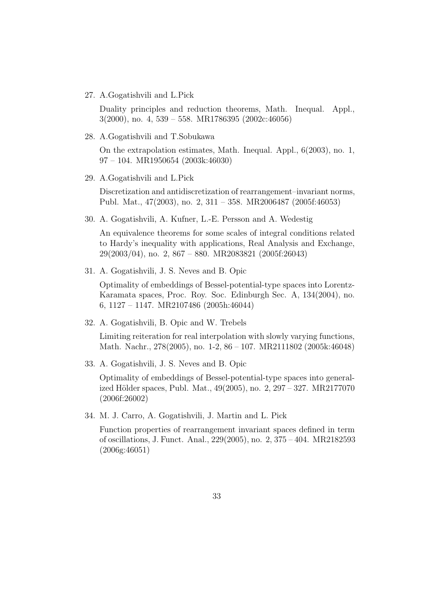27. A.Gogatishvili and L.Pick

Duality principles and reduction theorems, Math. Inequal. Appl., 3(2000), no. 4, 539 – 558. MR1786395 (2002c:46056)

28. A.Gogatishvili and T.Sobukawa

On the extrapolation estimates, Math. Inequal. Appl., 6(2003), no. 1, 97 – 104. MR1950654 (2003k:46030)

29. A.Gogatishvili and L.Pick

Discretization and antidiscretization of rearrangement–invariant norms, Publ. Mat., 47(2003), no. 2, 311 – 358. MR2006487 (2005f:46053)

30. A. Gogatishvili, A. Kufner, L.-E. Persson and A. Wedestig

An equivalence theorems for some scales of integral conditions related to Hardy's inequality with applications, Real Analysis and Exchange, 29(2003/04), no. 2, 867 – 880. MR2083821 (2005f:26043)

31. A. Gogatishvili, J. S. Neves and B. Opic

Optimality of embeddings of Bessel-potential-type spaces into Lorentz-Karamata spaces, Proc. Roy. Soc. Edinburgh Sec. A, 134(2004), no. 6, 1127 – 1147. MR2107486 (2005h:46044)

32. A. Gogatishvili, B. Opic and W. Trebels

Limiting reiteration for real interpolation with slowly varying functions, Math. Nachr., 278(2005), no. 1-2, 86 – 107. MR2111802 (2005k:46048)

33. A. Gogatishvili, J. S. Neves and B. Opic

Optimality of embeddings of Bessel-potential-type spaces into generalized Hölder spaces, Publ. Mat.,  $49(2005)$ , no.  $2, 297 - 327$ . MR2177070 (2006f:26002)

34. M. J. Carro, A. Gogatishvili, J. Martin and L. Pick

Function properties of rearrangement invariant spaces defined in term of oscillations, J. Funct. Anal., 229(2005), no. 2, 375 – 404. MR2182593 (2006g:46051)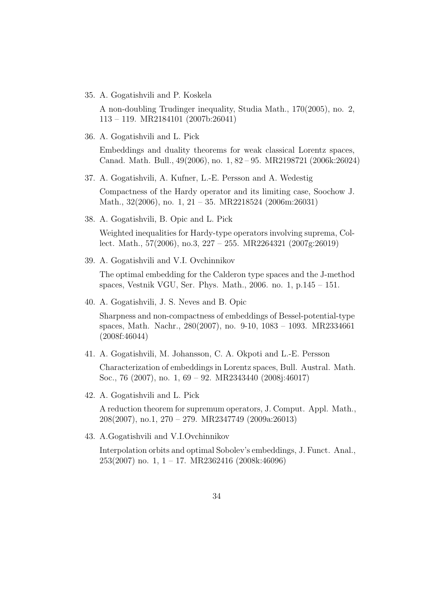35. A. Gogatishvili and P. Koskela

A non-doubling Trudinger inequality, Studia Math., 170(2005), no. 2, 113 – 119. MR2184101 (2007b:26041)

36. A. Gogatishvili and L. Pick

Embeddings and duality theorems for weak classical Lorentz spaces, Canad. Math. Bull., 49(2006), no. 1, 82 – 95. MR2198721 (2006k:26024)

37. A. Gogatishvili, A. Kufner, L.-E. Persson and A. Wedestig

Compactness of the Hardy operator and its limiting case, Soochow J. Math., 32(2006), no. 1, 21 – 35. MR2218524 (2006m:26031)

38. A. Gogatishvili, B. Opic and L. Pick

Weighted inequalities for Hardy-type operators involving suprema, Collect. Math., 57(2006), no.3, 227 – 255. MR2264321 (2007g:26019)

39. A. Gogatishvili and V.I. Ovchinnikov

The optimal embedding for the Calderon type spaces and the J-method spaces, Vestnik VGU, Ser. Phys. Math., 2006. no. 1, p.145 – 151.

40. A. Gogatishvili, J. S. Neves and B. Opic

Sharpness and non-compactness of embeddings of Bessel-potential-type spaces, Math. Nachr., 280(2007), no. 9-10, 1083 – 1093. MR2334661 (2008f:46044)

41. A. Gogatishvili, M. Johansson, C. A. Okpoti and L.-E. Persson

Characterization of embeddings in Lorentz spaces, Bull. Austral. Math. Soc., 76 (2007), no. 1, 69 – 92. MR2343440 (2008j:46017)

42. A. Gogatishvili and L. Pick

A reduction theorem for supremum operators, J. Comput. Appl. Math., 208(2007), no.1, 270 – 279. MR2347749 (2009a:26013)

43. A.Gogatishvili and V.I.Ovchinnikov

Interpolation orbits and optimal Sobolev's embeddings, J. Funct. Anal., 253(2007) no. 1, 1 – 17. MR2362416 (2008k:46096)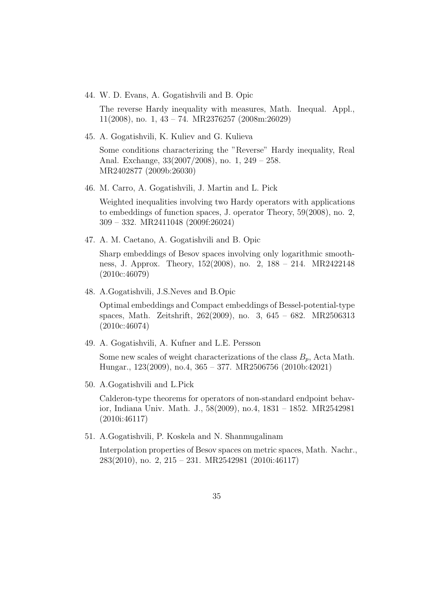44. W. D. Evans, A. Gogatishvili and B. Opic

The reverse Hardy inequality with measures, Math. Inequal. Appl., 11(2008), no. 1, 43 – 74. MR2376257 (2008m:26029)

45. A. Gogatishvili, K. Kuliev and G. Kulieva

Some conditions characterizing the "Reverse" Hardy inequality, Real Anal. Exchange, 33(2007/2008), no. 1, 249 – 258. MR2402877 (2009b:26030)

46. M. Carro, A. Gogatishvili, J. Martin and L. Pick

Weighted inequalities involving two Hardy operators with applications to embeddings of function spaces, J. operator Theory, 59(2008), no. 2, 309 – 332. MR2411048 (2009f:26024)

47. A. M. Caetano, A. Gogatishvili and B. Opic

Sharp embeddings of Besov spaces involving only logarithmic smoothness, J. Approx. Theory, 152(2008), no. 2, 188 – 214. MR2422148 (2010c:46079)

48. A.Gogatishvili, J.S.Neves and B.Opic

Optimal embeddings and Compact embeddings of Bessel-potential-type spaces, Math. Zeitshrift, 262(2009), no. 3, 645 – 682. MR2506313 (2010c:46074)

49. A. Gogatishvili, A. Kufner and L.E. Persson

Some new scales of weight characterizations of the class  $B_n$ , Acta Math. Hungar., 123(2009), no.4, 365 – 377. MR2506756 (2010b:42021)

50. A.Gogatishvili and L.Pick

Calderon-type theorems for operators of non-standard endpoint behavior, Indiana Univ. Math. J., 58(2009), no.4, 1831 – 1852. MR2542981 (2010i:46117)

51. A.Gogatishvili, P. Koskela and N. Shanmugalinam

Interpolation properties of Besov spaces on metric spaces, Math. Nachr., 283(2010), no. 2, 215 – 231. MR2542981 (2010i:46117)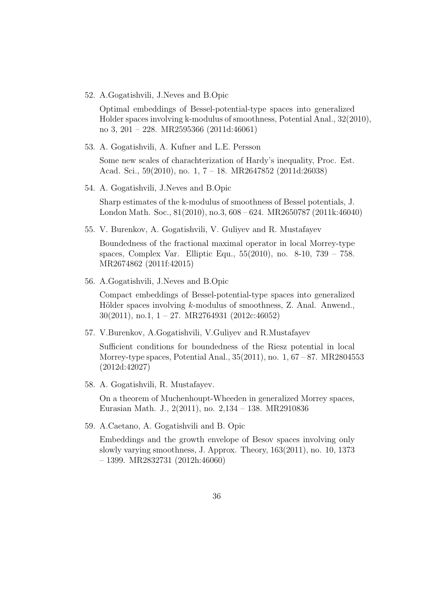52. A.Gogatishvili, J.Neves and B.Opic

Optimal embeddings of Bessel-potential-type spaces into generalized Holder spaces involving k-modulus of smoothness, Potential Anal., 32(2010), no 3, 201 – 228. MR2595366 (2011d:46061)

53. A. Gogatishvili, A. Kufner and L.E. Persson

Some new scales of charachterization of Hardy's inequality, Proc. Est. Acad. Sci., 59(2010), no. 1, 7 – 18. MR2647852 (2011d:26038)

54. A. Gogatishvili, J.Neves and B.Opic

Sharp estimates of the k-modulus of smoothness of Bessel potentials, J. London Math. Soc., 81(2010), no.3, 608 – 624. MR2650787 (2011k:46040)

55. V. Burenkov, A. Gogatishvili, V. Guliyev and R. Mustafayev

Boundedness of the fractional maximal operator in local Morrey-type spaces, Complex Var. Elliptic Equ., 55(2010), no. 8-10, 739 – 758. MR2674862 (2011f:42015)

56. A.Gogatishvili, J.Neves and B.Opic

Compact embeddings of Bessel-potential-type spaces into generalized Hölder spaces involving  $k$ -modulus of smoothness, Z. Anal. Anwend., 30(2011), no.1, 1 – 27. MR2764931 (2012c:46052)

57. V.Burenkov, A.Gogatishvili, V.Guliyev and R.Mustafayev

Sufficient conditions for boundedness of the Riesz potential in local Morrey-type spaces, Potential Anal., 35(2011), no. 1, 67 – 87. MR2804553 (2012d:42027)

58. A. Gogatishvili, R. Mustafayev.

On a theorem of Muchenhoupt-Wheeden in generalized Morrey spaces, Eurasian Math. J., 2(2011), no. 2,134 – 138. MR2910836

59. A.Caetano, A. Gogatishvili and B. Opic

Embeddings and the growth envelope of Besov spaces involving only slowly varying smoothness, J. Approx. Theory, 163(2011), no. 10, 1373 – 1399. MR2832731 (2012h:46060)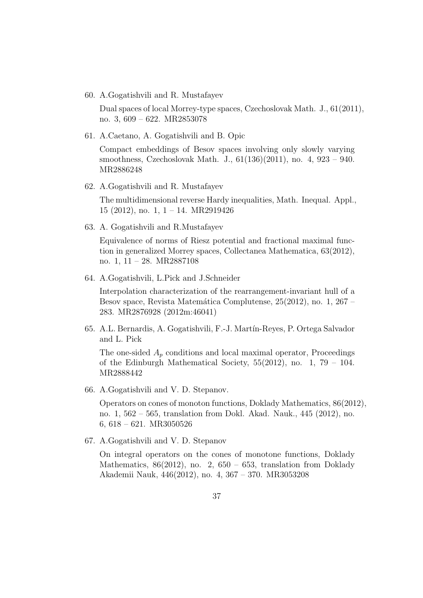60. A.Gogatishvili and R. Mustafayev

Dual spaces of local Morrey-type spaces, Czechoslovak Math. J., 61(2011), no. 3, 609 – 622. MR2853078

61. A.Caetano, A. Gogatishvili and B. Opic

Compact embeddings of Besov spaces involving only slowly varying smoothness, Czechoslovak Math. J., 61(136)(2011), no. 4, 923 – 940. MR2886248

62. A.Gogatishvili and R. Mustafayev

The multidimensional reverse Hardy inequalities, Math. Inequal. Appl., 15 (2012), no. 1, 1 – 14. MR2919426

63. A. Gogatishvili and R.Mustafayev

Equivalence of norms of Riesz potential and fractional maximal function in generalized Morrey spaces, Collectanea Mathematica, 63(2012), no. 1, 11 – 28. MR2887108

64. A.Gogatishvili, L.Pick and J.Schneider

Interpolation characterization of the rearrangement-invariant hull of a Besov space, Revista Matemática Complutense,  $25(2012)$ , no. 1,  $267$  – 283. MR2876928 (2012m:46041)

65. A.L. Bernardis, A. Gogatishvili, F.-J. Mart´ın-Reyes, P. Ortega Salvador and L. Pick

The one-sided  $A_p$  conditions and local maximal operator, Proceedings of the Edinburgh Mathematical Society,  $55(2012)$ , no. 1, 79 – 104. MR2888442

66. A.Gogatishvili and V. D. Stepanov.

Operators on cones of monoton functions, Doklady Mathematics, 86(2012), no. 1, 562 – 565, translation from Dokl. Akad. Nauk., 445 (2012), no. 6, 618 – 621. MR3050526

67. A.Gogatishvili and V. D. Stepanov

On integral operators on the cones of monotone functions, Doklady Mathematics,  $86(2012)$ , no. 2,  $650 - 653$ , translation from Doklady Akademii Nauk, 446(2012), no. 4, 367 – 370. MR3053208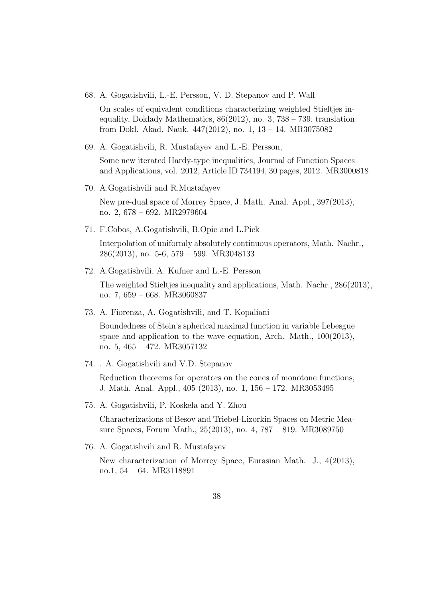68. A. Gogatishvili, L.-E. Persson, V. D. Stepanov and P. Wall

On scales of equivalent conditions characterizing weighted Stieltjes inequality, Doklady Mathematics,  $86(2012)$ , no. 3,  $738 - 739$ , translation from Dokl. Akad. Nauk. 447(2012), no. 1, 13 – 14. MR3075082

- 69. A. Gogatishvili, R. Mustafayev and L.-E. Persson, Some new iterated Hardy-type inequalities, Journal of Function Spaces and Applications, vol. 2012, Article ID 734194, 30 pages, 2012. MR3000818
- 70. A.Gogatishvili and R.Mustafayev New pre-dual space of Morrey Space, J. Math. Anal. Appl., 397(2013), no. 2, 678 – 692. MR2979604
- 71. F.Cobos, A.Gogatishvili, B.Opic and L.Pick Interpolation of uniformly absolutely continuous operators, Math. Nachr., 286(2013), no. 5-6, 579 – 599. MR3048133
- 72. A.Gogatishvili, A. Kufner and L.-E. Persson The weighted Stieltjes inequality and applications, Math. Nachr., 286(2013), no. 7, 659 – 668. MR3060837
- 73. A. Fiorenza, A. Gogatishvili, and T. Kopaliani

Boundedness of Stein's spherical maximal function in variable Lebesgue space and application to the wave equation, Arch. Math., 100(2013), no. 5, 465 – 472. MR3057132

74. . A. Gogatishvili and V.D. Stepanov

Reduction theorems for operators on the cones of monotone functions, J. Math. Anal. Appl., 405 (2013), no. 1, 156 – 172. MR3053495

75. A. Gogatishvili, P. Koskela and Y. Zhou

Characterizations of Besov and Triebel-Lizorkin Spaces on Metric Measure Spaces, Forum Math., 25(2013), no. 4, 787 – 819. MR3089750

76. A. Gogatishvili and R. Mustafayev New characterization of Morrey Space, Eurasian Math. J., 4(2013), no.1, 54 – 64. MR3118891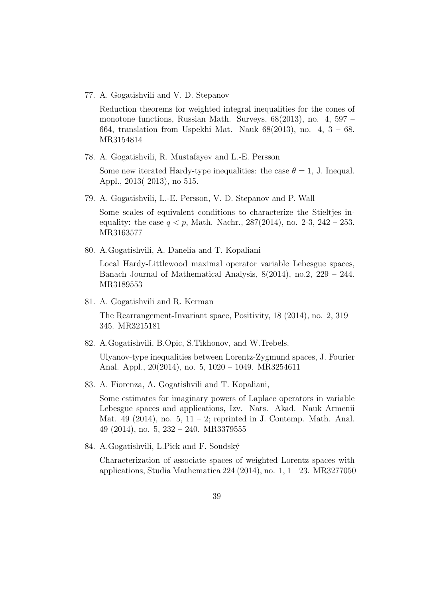77. A. Gogatishvili and V. D. Stepanov

Reduction theorems for weighted integral inequalities for the cones of monotone functions, Russian Math. Surveys, 68(2013), no. 4, 597 – 664, translation from Uspekhi Mat. Nauk 68(2013), no. 4, 3 – 68. MR3154814

78. A. Gogatishvili, R. Mustafayev and L.-E. Persson

Some new iterated Hardy-type inequalities: the case  $\theta = 1$ , J. Inequal. Appl., 2013( 2013), no 515.

79. A. Gogatishvili, L.-E. Persson, V. D. Stepanov and P. Wall

Some scales of equivalent conditions to characterize the Stieltjes inequality: the case  $q < p$ , Math. Nachr., 287(2014), no. 2-3, 242 – 253. MR3163577

80. A.Gogatishvili, A. Danelia and T. Kopaliani

Local Hardy-Littlewood maximal operator variable Lebesgue spaces, Banach Journal of Mathematical Analysis, 8(2014), no.2, 229 – 244. MR3189553

81. A. Gogatishvili and R. Kerman

The Rearrangement-Invariant space, Positivity, 18 (2014), no. 2, 319 – 345. MR3215181

82. A.Gogatishvili, B.Opic, S.Tikhonov, and W.Trebels.

Ulyanov-type inequalities between Lorentz-Zygmund spaces, J. Fourier Anal. Appl., 20(2014), no. 5, 1020 – 1049. MR3254611

83. A. Fiorenza, A. Gogatishvili and T. Kopaliani,

Some estimates for imaginary powers of Laplace operators in variable Lebesgue spaces and applications, Izv. Nats. Akad. Nauk Armenii Mat. 49 (2014), no. 5,  $11 - 2$ ; reprinted in J. Contemp. Math. Anal. 49 (2014), no. 5, 232 – 240. MR3379555

84. A.Gogatishvili, L.Pick and F. Soudsk´y

Characterization of associate spaces of weighted Lorentz spaces with applications, Studia Mathematica 224 (2014), no. 1, 1 – 23. MR3277050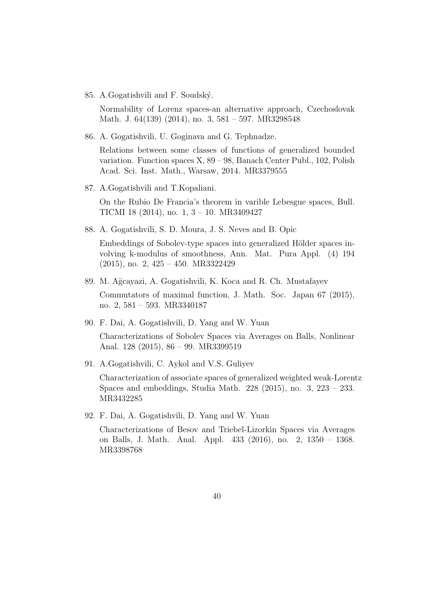85. A. Gogatishvili and F. Soudský.

Normability of Lorenz spaces-an alternative approach, Czechoslovak Math. J. 64(139) (2014), no. 3, 581 – 597. MR3298548

86. A. Gogatishvili, U. Goginava and G. Tephnadze.

Relations between some classes of functions of generalized bounded variation. Function spaces X, 89 – 98, Banach Center Publ., 102, Polish Acad. Sci. Inst. Math., Warsaw, 2014. MR3379555

87. A.Gogatishvili and T.Kopaliani.

On the Rubio De Francia's theorem in varible Lebesgue spaces, Bull. TICMI 18 (2014), no. 1, 3 – 10. MR3409427

88. A. Gogatishvili, S. D. Moura, J. S. Neves and B. Opic

Embeddings of Sobolev-type spaces into generalized Hölder spaces involving k-modulus of smoothness, Ann. Mat. Pura Appl. (4) 194 (2015), no. 2, 425 – 450. MR3322429

- 89. M. Ağcayazi, A. Gogatishvili, K. Koca and R. Ch. Mustafayev Commutators of maximal function, J. Math. Soc. Japan 67 (2015), no. 2, 581 – 593. MR3340187
- 90. F. Dai, A. Gogatishvili, D. Yang and W. Yuan

Characterizations of Sobolev Spaces via Averages on Balls, Nonlinear Anal. 128 (2015), 86 – 99. MR3399519

91. A.Gogatishvili, C. Aykol and V.S. Guliyev

Characterization of associate spaces of generalized weighted weak-Lorentz Spaces and embeddings, Studia Math. 228 (2015), no. 3, 223 – 233. MR3432285

92. F. Dai, A. Gogatishvili, D. Yang and W. Yuan

Characterizations of Besov and Triebel-Lizorkin Spaces via Averages on Balls, J. Math. Anal. Appl. 433 (2016), no. 2, 1350 – 1368. MR3398768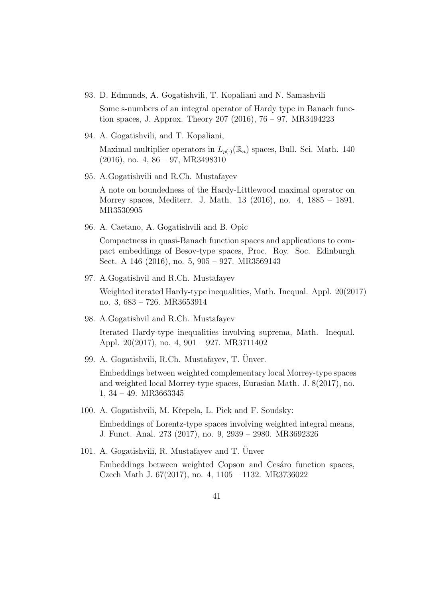93. D. Edmunds, A. Gogatishvili, T. Kopaliani and N. Samashvili

Some s-numbers of an integral operator of Hardy type in Banach function spaces, J. Approx. Theory 207 (2016), 76 – 97. MR3494223

- 94. A. Gogatishvili, and T. Kopaliani, Maximal multiplier operators in  $L_{p(\cdot)}(\mathbb{R}_n)$  spaces, Bull. Sci. Math. 140 (2016), no. 4, 86 – 97, MR3498310
- 95. A.Gogatishvili and R.Ch. Mustafayev

A note on boundedness of the Hardy-Littlewood maximal operator on Morrey spaces, Mediterr. J. Math. 13 (2016), no. 4, 1885 – 1891. MR3530905

96. A. Caetano, A. Gogatishvili and B. Opic

Compactness in quasi-Banach function spaces and applications to compact embeddings of Besov-type spaces, Proc. Roy. Soc. Edinburgh Sect. A 146 (2016), no. 5, 905 – 927. MR3569143

97. A.Gogatishvil and R.Ch. Mustafayev

Weighted iterated Hardy-type inequalities, Math. Inequal. Appl. 20(2017) no. 3, 683 – 726. MR3653914

- 98. A.Gogatishvil and R.Ch. Mustafayev Iterated Hardy-type inequalities involving suprema, Math. Inequal. Appl. 20(2017), no. 4, 901 – 927. MR3711402
- 99. A. Gogatishvili, R.Ch. Mustafayev, T. Ünver.

Embeddings between weighted complementary local Morrey-type spaces and weighted local Morrey-type spaces, Eurasian Math. J. 8(2017), no. 1, 34 – 49. MR3663345

- 100. A. Gogatishvili, M. Kˇrepela, L. Pick and F. Soudsky: Embeddings of Lorentz-type spaces involving weighted integral means, J. Funct. Anal. 273 (2017), no. 9, 2939 – 2980. MR3692326
- 101. A. Gogatishvili, R. Mustafayev and T. Ünver Embeddings between weighted Copson and Cesaro function spaces, Czech Math J. 67(2017), no. 4, 1105 – 1132. MR3736022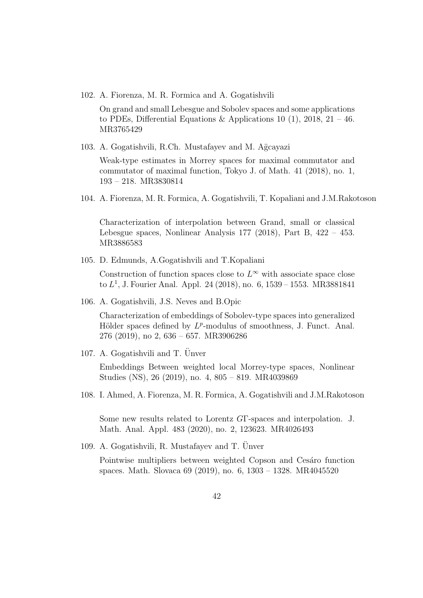102. A. Fiorenza, M. R. Formica and A. Gogatishvili

On grand and small Lebesgue and Sobolev spaces and some applications to PDEs, Differential Equations & Applications 10 (1), 2018,  $21 - 46$ . MR3765429

103. A. Gogatishvili, R.Ch. Mustafayev and M. Ağcayazi

Weak-type estimates in Morrey spaces for maximal commutator and commutator of maximal function, Tokyo J. of Math. 41 (2018), no. 1, 193 – 218. MR3830814

104. A. Fiorenza, M. R. Formica, A. Gogatishvili, T. Kopaliani and J.M.Rakotoson

Characterization of interpolation between Grand, small or classical Lebesgue spaces, Nonlinear Analysis 177 (2018), Part B, 422 – 453. MR3886583

105. D. Edmunds, A.Gogatishvili and T.Kopaliani

Construction of function spaces close to  $L^{\infty}$  with associate space close to L 1 , J. Fourier Anal. Appl. 24 (2018), no. 6, 1539 – 1553. MR3881841

106. A. Gogatishvili, J.S. Neves and B.Opic

Characterization of embeddings of Sobolev-type spaces into generalized Hölder spaces defined by  $L^p$ -modulus of smoothness, J. Funct. Anal. 276 (2019), no 2, 636 – 657. MR3906286

107. A. Gogatishvili and T.  $\ddot{\text{U}}$ nver

Embeddings Between weighted local Morrey-type spaces, Nonlinear Studies (NS), 26 (2019), no. 4, 805 – 819. MR4039869

108. I. Ahmed, A. Fiorenza, M. R. Formica, A. Gogatishvili and J.M.Rakotoson

Some new results related to Lorentz GΓ-spaces and interpolation. J. Math. Anal. Appl. 483 (2020), no. 2, 123623. MR4026493

109. A. Gogatishvili, R. Mustafayev and T. Unver Pointwise multipliers between weighted Copson and Cesaro function spaces. Math. Slovaca 69 (2019), no. 6, 1303 – 1328. MR4045520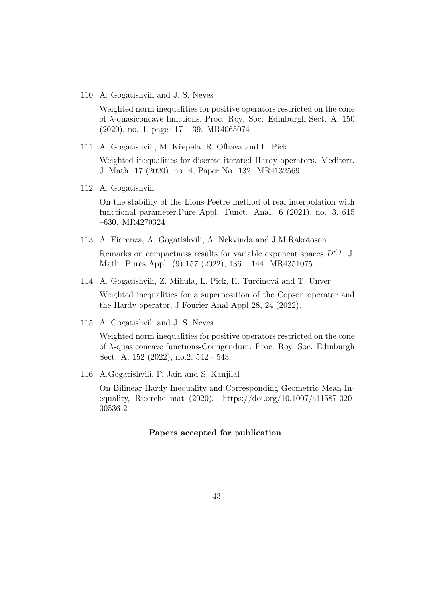110. A. Gogatishvili and J. S. Neves

Weighted norm inequalities for positive operators restricted on the cone of  $\lambda$ -quasiconcave functions, Proc. Roy. Soc. Edinburgh Sect. A, 150 (2020), no. 1, pages 17 – 39. MR4065074

- 111. A. Gogatishvili, M. Křepela, R. Olhava and L. Pick Weighted inequalities for discrete iterated Hardy operators. Mediterr. J. Math. 17 (2020), no. 4, Paper No. 132. MR4132569
- 112. A. Gogatishvili

On the stability of the Lions-Peetre method of real interpolation with functional parameter.Pure Appl. Funct. Anal. 6 (2021), no. 3, 615 –630. MR4270324

- 113. A. Fiorenza, A. Gogatishvili, A. Nekvinda and J.M.Rakotoson Remarks on compactness results for variable exponent spaces  $L^{p(\cdot)}$ . J. Math. Pures Appl. (9) 157 (2022), 136 – 144. MR4351075
- 114. A. Gogatishvili, Z. Mihula, L. Pick, H. Turčinová and T. Unver

Weighted inequalities for a superposition of the Copson operator and the Hardy operator, J Fourier Anal Appl 28, 24 (2022).

115. A. Gogatishvili and J. S. Neves

Weighted norm inequalities for positive operators restricted on the cone of λ-quasiconcave functions-Corrigendum. Proc. Roy. Soc. Edinburgh Sect. A, 152 (2022), no.2, 542 - 543.

116. A.Gogatishvili, P. Jain and S. Kanjilal

On Bilinear Hardy Inequality and Corresponding Geometric Mean Inequality, Ricerche mat (2020). https://doi.org/10.1007/s11587-020- 00536-2

# Papers accepted for publication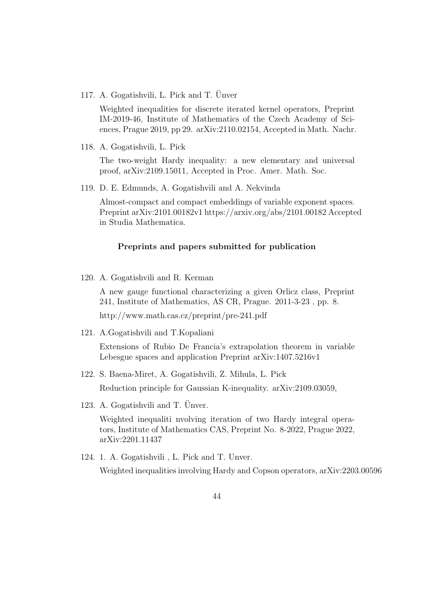117. A. Gogatishvili, L. Pick and T. Unver

Weighted inequalities for discrete iterated kernel operators, Preprint IM-2019-46, Institute of Mathematics of the Czech Academy of Sciences, Prague 2019, pp 29. arXiv:2110.02154, Accepted in Math. Nachr.

118. A. Gogatishvili, L. Pick

The two-weight Hardy inequality: a new elementary and universal proof, arXiv:2109.15011, Accepted in Proc. Amer. Math. Soc.

119. D. E. Edmunds, A. Gogatishvili and A. Nekvinda

Almost-compact and compact embeddings of variable exponent spaces. Preprint arXiv:2101.00182v1 https://arxiv.org/abs/2101.00182 Accepted in Studia Mathematica.

#### Preprints and papers submitted for publication

120. A. Gogatishvili and R. Kerman

A new gauge functional characterizing a given Orlicz class, Preprint 241, Institute of Mathematics, AS CR, Prague. 2011-3-23 , pp. 8.

http://www.math.cas.cz/preprint/pre-241.pdf

121. A.Gogatishvili and T.Kopaliani

Extensions of Rubio De Francia's extrapolation theorem in variable Lebesgue spaces and application Preprint arXiv:1407.5216v1

122. S. Baena-Miret, A. Gogatishvili, Z. Mihula, L. Pick

Reduction principle for Gaussian K-inequality. arXiv:2109.03059,

123. A. Gogatishvili and T.  $Ü$ nver.

Weighted inequaliti nvolving iteration of two Hardy integral operators, Institute of Mathematics CAS, Preprint No. 8-2022, Prague 2022, arXiv:2201.11437

124. 1. A. Gogatishvili , L. Pick and T. Unver. Weighted inequalities involving Hardy and Copson operators, arXiv:2203.00596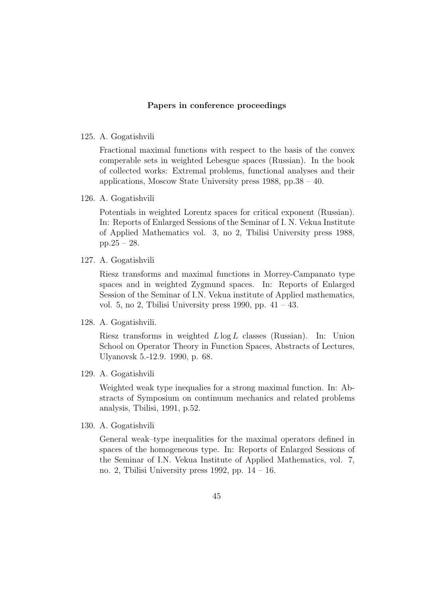### Papers in conference proceedings

### 125. A. Gogatishvili

Fractional maximal functions with respect to the basis of the convex comperable sets in weighted Lebesgue spaces (Russian). In the book of collected works: Extremal problems, functional analyses and their applications, Moscow State University press 1988, pp.38 – 40.

126. A. Gogatishvili

Potentials in weighted Lorentz spaces for critical exponent (Russian). In: Reports of Enlarged Sessions of the Seminar of I. N. Vekua Institute of Applied Mathematics vol. 3, no 2, Tbilisi University press 1988, pp.25 – 28.

127. A. Gogatishvili

Riesz transforms and maximal functions in Morrey-Campanato type spaces and in weighted Zygmund spaces. In: Reports of Enlarged Session of the Seminar of I.N. Vekua institute of Applied mathematics, vol. 5, no 2, Tbilisi University press 1990, pp.  $41 - 43$ .

128. A. Gogatishvili.

Riesz transforms in weighted  $L \log L$  classes (Russian). In: Union School on Operator Theory in Function Spaces, Abstracts of Lectures, Ulyanovsk 5.-12.9. 1990, p. 68.

129. A. Gogatishvili

Weighted weak type inequalies for a strong maximal function. In: Abstracts of Symposium on continuum mechanics and related problems analysis, Tbilisi, 1991, p.52.

130. A. Gogatishvili

General weak–type inequalities for the maximal operators defined in spaces of the homogeneous type. In: Reports of Enlarged Sessions of the Seminar of I.N. Vekua Institute of Applied Mathematics, vol. 7, no. 2, Tbilisi University press 1992, pp.  $14 - 16$ .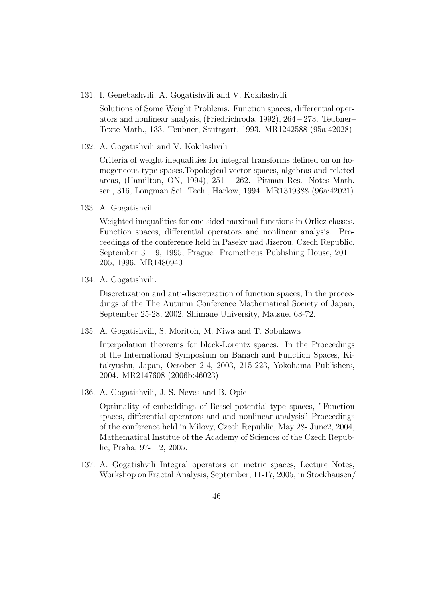131. I. Genebashvili, A. Gogatishvili and V. Kokilashvili

Solutions of Some Weight Problems. Function spaces, differential operators and nonlinear analysis, (Friedrichroda, 1992), 264 – 273. Teubner– Texte Math., 133. Teubner, Stuttgart, 1993. MR1242588 (95a:42028)

132. A. Gogatishvili and V. Kokilashvili

Criteria of weight inequalities for integral transforms defined on on homogeneous type spases.Topological vector spaces, algebras and related areas, (Hamilton, ON, 1994), 251 – 262. Pitman Res. Notes Math. ser., 316, Longman Sci. Tech., Harlow, 1994. MR1319388 (96a:42021)

133. A. Gogatishvili

Weighted inequalities for one-sided maximal functions in Orlicz classes. Function spaces, differential operators and nonlinear analysis. Proceedings of the conference held in Paseky nad Jizerou, Czech Republic, September 3 – 9, 1995, Prague: Prometheus Publishing House, 201 – 205, 1996. MR1480940

134. A. Gogatishvili.

Discretization and anti-discretization of function spaces, In the proceedings of the The Autumn Conference Mathematical Society of Japan, September 25-28, 2002, Shimane University, Matsue, 63-72.

135. A. Gogatishvili, S. Moritoh, M. Niwa and T. Sobukawa

Interpolation theorems for block-Lorentz spaces. In the Proceedings of the International Symposium on Banach and Function Spaces, Kitakyushu, Japan, October 2-4, 2003, 215-223, Yokohama Publishers, 2004. MR2147608 (2006b:46023)

136. A. Gogatishvili, J. S. Neves and B. Opic

Optimality of embeddings of Bessel-potential-type spaces, "Function spaces, differential operators and and nonlinear analysis" Proceedings of the conference held in Milovy, Czech Republic, May 28- June2, 2004, Mathematical Institue of the Academy of Sciences of the Czech Republic, Praha, 97-112, 2005.

137. A. Gogatishvili Integral operators on metric spaces, Lecture Notes, Workshop on Fractal Analysis, September, 11-17, 2005, in Stockhausen/